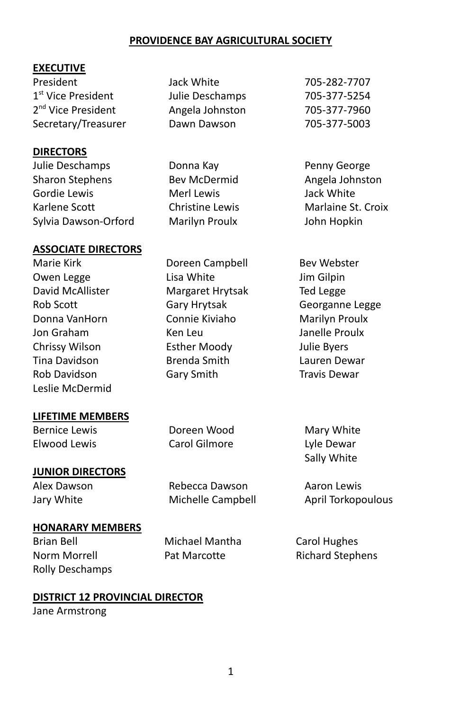#### **PROVIDENCE BAY AGRICULTURAL SOCIETY**

#### **EXECUTIVE**

President Jack White 705-282-7707 1<sup>st</sup> Vice President 2<sup>nd</sup> Vice President Secretary/Treasurer Dawn Dawson 705-377-5003

#### **DIRECTORS**

Julie Deschamps Sharon Stephens Gordie Lewis Karlene Scott Sylvia Dawson-Orford

#### **ASSOCIATE DIRECTORS**

Marie Kirk Owen Legge David McAllister Rob Scott Donna VanHorn Jon Graham Chrissy Wilson Tina Davidson Rob Davidson Leslie McDermid

#### **LIFETIME MEMBERS**

Bernice Lewis Elwood Lewis

# **JUNIOR DIRECTORS**

Alex Dawson Jary White

Rebecca Dawson Michelle Campbell

Doreen Wood Carol Gilmore

#### **HONARARY MEMBERS**

Brian Bell Norm Morrell Rolly Deschamps Michael Mantha Pat Marcotte

#### **DISTRICT 12 PROVINCIAL DIRECTOR**

Jane Armstrong

- Julie Deschamps 705-377-5254 Angela Johnston 705-377-7960
- Donna Kay Bev McDermid Merl Lewis Christine Lewis Marilyn Proulx
- Doreen Campbell Lisa White Margaret Hrytsak Gary Hrytsak Connie Kiviaho Ken Leu Esther Moody Brenda Smith Gary Smith

Penny George Angela Johnston Jack White Marlaine St. Croix John Hopkin

Bev Webster Jim Gilpin Ted Legge Georganne Legge Marilyn Proulx Janelle Proulx Julie Byers Lauren Dewar Travis Dewar

Mary White Lyle Dewar Sally White

Aaron Lewis April Torkopoulous

Carol Hughes Richard Stephens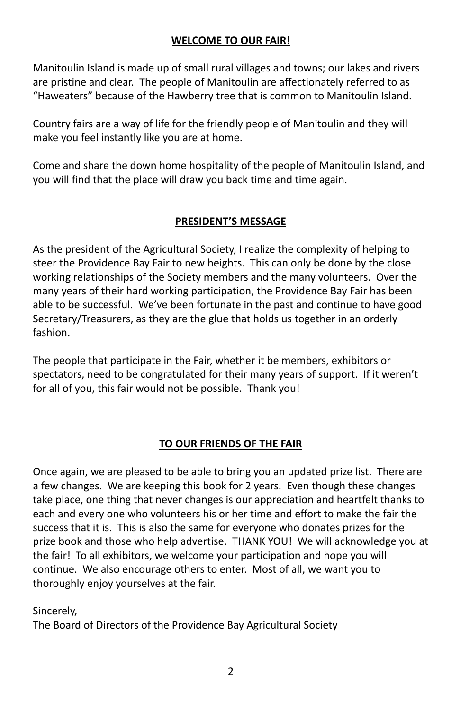#### **WELCOME TO OUR FAIR!**

Manitoulin Island is made up of small rural villages and towns; our lakes and rivers are pristine and clear. The people of Manitoulin are affectionately referred to as "Haweaters" because of the Hawberry tree that is common to Manitoulin Island.

Country fairs are a way of life for the friendly people of Manitoulin and they will make you feel instantly like you are at home.

Come and share the down home hospitality of the people of Manitoulin Island, and you will find that the place will draw you back time and time again.

## **PRESIDENT'S MESSAGE**

As the president of the Agricultural Society, I realize the complexity of helping to steer the Providence Bay Fair to new heights. This can only be done by the close working relationships of the Society members and the many volunteers. Over the many years of their hard working participation, the Providence Bay Fair has been able to be successful. We've been fortunate in the past and continue to have good Secretary/Treasurers, as they are the glue that holds us together in an orderly fashion.

The people that participate in the Fair, whether it be members, exhibitors or spectators, need to be congratulated for their many years of support. If it weren't for all of you, this fair would not be possible. Thank you!

#### **TO OUR FRIENDS OF THE FAIR**

Once again, we are pleased to be able to bring you an updated prize list. There are a few changes. We are keeping this book for 2 years. Even though these changes take place, one thing that never changes is our appreciation and heartfelt thanks to each and every one who volunteers his or her time and effort to make the fair the success that it is. This is also the same for everyone who donates prizes for the prize book and those who help advertise. THANK YOU! We will acknowledge you at the fair! To all exhibitors, we welcome your participation and hope you will continue. We also encourage others to enter. Most of all, we want you to thoroughly enjoy yourselves at the fair.

Sincerely,

The Board of Directors of the Providence Bay Agricultural Society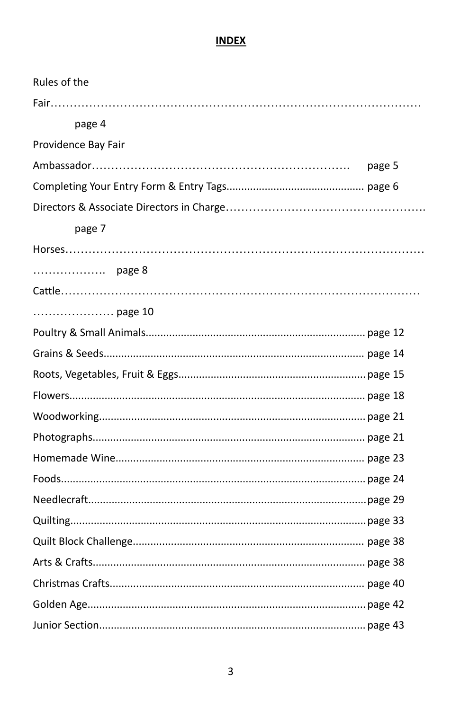## **INDEX**

| Rules of the        |        |
|---------------------|--------|
|                     |        |
| page 4              |        |
| Providence Bay Fair |        |
|                     | page 5 |
|                     |        |
|                     |        |
| page 7              |        |
|                     |        |
| page 8              |        |
|                     |        |
| page 10             |        |
|                     |        |
|                     |        |
|                     |        |
|                     |        |
|                     |        |
|                     |        |
|                     |        |
|                     |        |
|                     |        |
|                     |        |
|                     |        |
|                     |        |
|                     |        |
|                     |        |
|                     |        |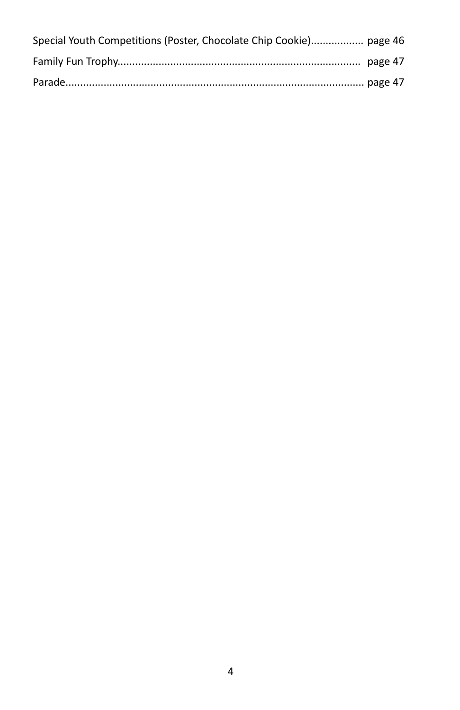| Special Youth Competitions (Poster, Chocolate Chip Cookie) page 46 |  |
|--------------------------------------------------------------------|--|
|                                                                    |  |
|                                                                    |  |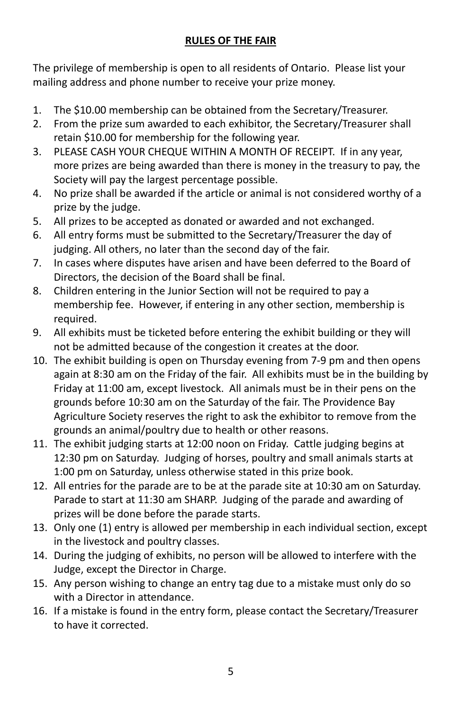# **RULES OF THE FAIR**

The privilege of membership is open to all residents of Ontario. Please list your mailing address and phone number to receive your prize money.

- 1. The \$10.00 membership can be obtained from the Secretary/Treasurer.
- 2. From the prize sum awarded to each exhibitor, the Secretary/Treasurer shall retain \$10.00 for membership for the following year.
- 3. PLEASE CASH YOUR CHEQUE WITHIN A MONTH OF RECEIPT. If in any year, more prizes are being awarded than there is money in the treasury to pay, the Society will pay the largest percentage possible.
- 4. No prize shall be awarded if the article or animal is not considered worthy of a prize by the judge.
- 5. All prizes to be accepted as donated or awarded and not exchanged.
- 6. All entry forms must be submitted to the Secretary/Treasurer the day of judging. All others, no later than the second day of the fair.
- 7. In cases where disputes have arisen and have been deferred to the Board of Directors, the decision of the Board shall be final.
- 8. Children entering in the Junior Section will not be required to pay a membership fee. However, if entering in any other section, membership is required.
- 9. All exhibits must be ticketed before entering the exhibit building or they will not be admitted because of the congestion it creates at the door.
- 10. The exhibit building is open on Thursday evening from 7-9 pm and then opens again at 8:30 am on the Friday of the fair. All exhibits must be in the building by Friday at 11:00 am, except livestock. All animals must be in their pens on the grounds before 10:30 am on the Saturday of the fair. The Providence Bay Agriculture Society reserves the right to ask the exhibitor to remove from the grounds an animal/poultry due to health or other reasons.
- 11. The exhibit judging starts at 12:00 noon on Friday. Cattle judging begins at 12:30 pm on Saturday. Judging of horses, poultry and small animals starts at 1:00 pm on Saturday, unless otherwise stated in this prize book.
- 12. All entries for the parade are to be at the parade site at 10:30 am on Saturday. Parade to start at 11:30 am SHARP. Judging of the parade and awarding of prizes will be done before the parade starts.
- 13. Only one (1) entry is allowed per membership in each individual section, except in the livestock and poultry classes.
- 14. During the judging of exhibits, no person will be allowed to interfere with the Judge, except the Director in Charge.
- 15. Any person wishing to change an entry tag due to a mistake must only do so with a Director in attendance.
- 16. If a mistake is found in the entry form, please contact the Secretary/Treasurer to have it corrected.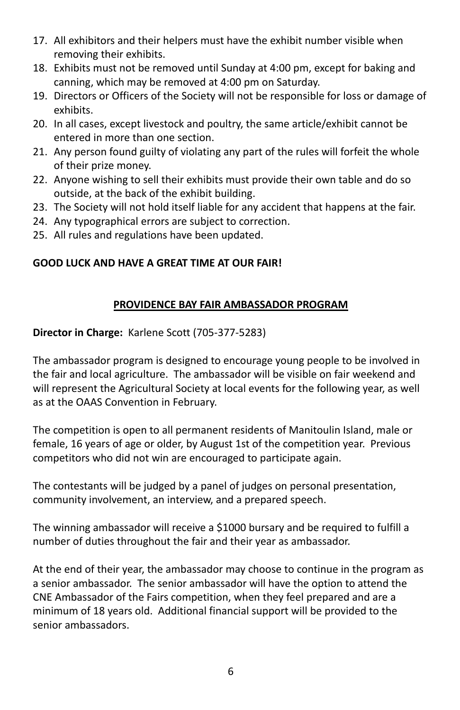- 17. All exhibitors and their helpers must have the exhibit number visible when removing their exhibits.
- 18. Exhibits must not be removed until Sunday at 4:00 pm, except for baking and canning, which may be removed at 4:00 pm on Saturday.
- 19. Directors or Officers of the Society will not be responsible for loss or damage of exhibits.
- 20. In all cases, except livestock and poultry, the same article/exhibit cannot be entered in more than one section.
- 21. Any person found guilty of violating any part of the rules will forfeit the whole of their prize money.
- 22. Anyone wishing to sell their exhibits must provide their own table and do so outside, at the back of the exhibit building.
- 23. The Society will not hold itself liable for any accident that happens at the fair.
- 24. Any typographical errors are subject to correction.
- 25. All rules and regulations have been updated.

## **GOOD LUCK AND HAVE A GREAT TIME AT OUR FAIR!**

#### **PROVIDENCE BAY FAIR AMBASSADOR PROGRAM**

**Director in Charge:** Karlene Scott (705-377-5283)

The ambassador program is designed to encourage young people to be involved in the fair and local agriculture. The ambassador will be visible on fair weekend and will represent the Agricultural Society at local events for the following year, as well as at the OAAS Convention in February.

The competition is open to all permanent residents of Manitoulin Island, male or female, 16 years of age or older, by August 1st of the competition year. Previous competitors who did not win are encouraged to participate again.

The contestants will be judged by a panel of judges on personal presentation, community involvement, an interview, and a prepared speech.

The winning ambassador will receive a \$1000 bursary and be required to fulfill a number of duties throughout the fair and their year as ambassador.

At the end of their year, the ambassador may choose to continue in the program as a senior ambassador. The senior ambassador will have the option to attend the CNE Ambassador of the Fairs competition, when they feel prepared and are a minimum of 18 years old. Additional financial support will be provided to the senior ambassadors.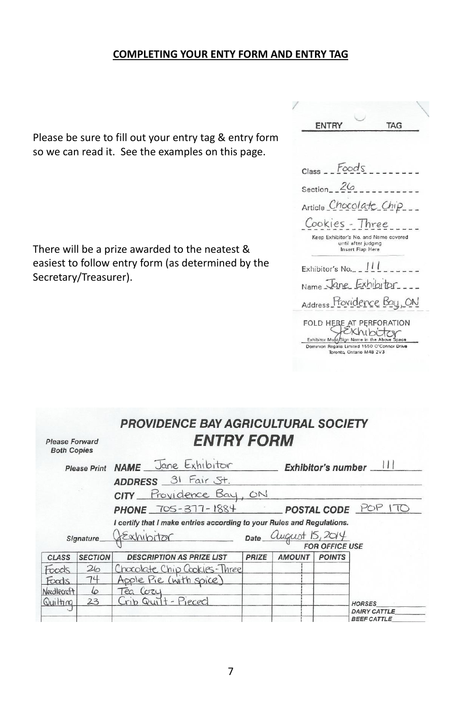#### **COMPLETING YOUR ENTY FORM AND ENTRY TAG**

Please be sure to fill out your entry tag & entry form so we can read it. See the examples on this page.

There will be a prize awarded to the neatest & easiest to follow entry form (as determined by the Secretary/Treasurer).

| ENTRY           |                                         | TAG                                                                                                                                                                                                                                                                                                               |  |
|-----------------|-----------------------------------------|-------------------------------------------------------------------------------------------------------------------------------------------------------------------------------------------------------------------------------------------------------------------------------------------------------------------|--|
|                 |                                         |                                                                                                                                                                                                                                                                                                                   |  |
|                 |                                         |                                                                                                                                                                                                                                                                                                                   |  |
| $Class - Foods$ |                                         |                                                                                                                                                                                                                                                                                                                   |  |
|                 |                                         | Section $26 - 7$                                                                                                                                                                                                                                                                                                  |  |
|                 |                                         | Article Chocolate Chip___                                                                                                                                                                                                                                                                                         |  |
|                 |                                         | Cookies - Three                                                                                                                                                                                                                                                                                                   |  |
|                 | until after judging<br>Insert Flap Here | Keep Exhibitor's No. and Name covered                                                                                                                                                                                                                                                                             |  |
|                 |                                         | Exhibitor's No. $\frac{1}{1}$ $\frac{1}{1}$ $\frac{1}{1}$ $\frac{1}{1}$ $\frac{1}{1}$ $\frac{1}{1}$ $\frac{1}{1}$ $\frac{1}{1}$ $\frac{1}{1}$ $\frac{1}{1}$ $\frac{1}{1}$ $\frac{1}{1}$ $\frac{1}{1}$ $\frac{1}{1}$ $\frac{1}{1}$ $\frac{1}{1}$ $\frac{1}{1}$ $\frac{1}{1}$ $\frac{1}{1}$ $\frac{1}{1}$ $\frac{1$ |  |
|                 |                                         | Name Jane Exhibitor                                                                                                                                                                                                                                                                                               |  |
|                 |                                         | Address Providence Bay, ON                                                                                                                                                                                                                                                                                        |  |
|                 |                                         | FOLD HERE AT PERFORATION                                                                                                                                                                                                                                                                                          |  |
|                 |                                         | Exhibitor Must/Sign Name in the Above Space                                                                                                                                                                                                                                                                       |  |

| <b>Please Forward</b><br><b>Both Copies</b> |                     | <b>PROVIDENCE BAY AGRICULTURAL SOCIETY</b><br><b>ENTRY FORM</b>        |       |                              |                       |                        |
|---------------------------------------------|---------------------|------------------------------------------------------------------------|-------|------------------------------|-----------------------|------------------------|
|                                             | <b>Please Print</b> | NAME Jane Exhibitor                                                    |       | Exhibitor's number __        |                       |                        |
|                                             |                     | ADDRESS 31 Fair St.                                                    |       |                              |                       |                        |
|                                             |                     | CITY Providence Bay, ON                                                |       |                              |                       |                        |
|                                             |                     | <b>PHONE</b> 705-377-1884                                              |       |                              |                       | POSTAL CODE POP<br>170 |
|                                             |                     | I certify that I make entries according to your Rules and Regulations. |       |                              |                       |                        |
|                                             | Signature_          | LExhibitor                                                             |       | Date <i>Quegust</i> 15, 2014 |                       |                        |
|                                             |                     |                                                                        |       |                              | <b>FOR OFFICE USE</b> |                        |
| <b>CLASS</b>                                | <b>SECTION</b>      | <b>DESCRIPTION AS PRIZE LIST</b>                                       | PRIZE | <b>AMOUNT</b>                | <b>POINTS</b>         |                        |
| Foods                                       | 26                  |                                                                        |       |                              |                       |                        |
| Foods                                       | 74                  | Chocolate Chip Cookies-Three<br>Apple Pie (with spice)                 |       |                              |                       |                        |
| Needlecraft                                 | 6                   | Tea Cozy                                                               |       |                              |                       |                        |
| Quilting                                    | 23                  | Crib Quilt - Pieced                                                    |       |                              |                       | <b>HORSES</b>          |
|                                             |                     |                                                                        |       |                              |                       | <b>DAIRY CATTLE</b>    |
|                                             |                     |                                                                        |       |                              |                       | <b>REEE CATTLE</b>     |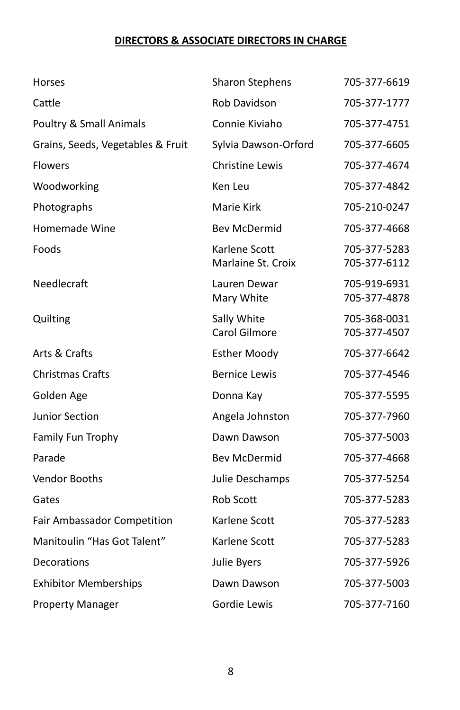## **DIRECTORS & ASSOCIATE DIRECTORS IN CHARGE**

| Horses                            | <b>Sharon Stephens</b>              | 705-377-6619                 |
|-----------------------------------|-------------------------------------|------------------------------|
| Cattle                            | Rob Davidson                        | 705-377-1777                 |
| Poultry & Small Animals           | Connie Kiviaho                      | 705-377-4751                 |
| Grains, Seeds, Vegetables & Fruit | Sylvia Dawson-Orford                | 705-377-6605                 |
| <b>Flowers</b>                    | <b>Christine Lewis</b>              | 705-377-4674                 |
| Woodworking                       | Ken Leu                             | 705-377-4842                 |
| Photographs                       | Marie Kirk                          | 705-210-0247                 |
| Homemade Wine                     | <b>Bev McDermid</b>                 | 705-377-4668                 |
| Foods                             | Karlene Scott<br>Marlaine St. Croix | 705-377-5283<br>705-377-6112 |
| Needlecraft                       | Lauren Dewar<br>Mary White          | 705-919-6931<br>705-377-4878 |
| Quilting                          | Sally White<br>Carol Gilmore        | 705-368-0031<br>705-377-4507 |
| Arts & Crafts                     | <b>Esther Moody</b>                 | 705-377-6642                 |
| <b>Christmas Crafts</b>           | <b>Bernice Lewis</b>                | 705-377-4546                 |
| Golden Age                        | Donna Kay                           | 705-377-5595                 |
| <b>Junior Section</b>             | Angela Johnston                     | 705-377-7960                 |
| Family Fun Trophy                 | Dawn Dawson                         | 705-377-5003                 |
| Parade                            | <b>Bev McDermid</b>                 | 705-377-4668                 |
| Vendor Booths                     | Julie Deschamps                     | 705-377-5254                 |
| Gates                             | Rob Scott                           | 705-377-5283                 |
| Fair Ambassador Competition       | Karlene Scott                       | 705-377-5283                 |
| Manitoulin "Has Got Talent"       | Karlene Scott                       | 705-377-5283                 |
| Decorations                       | Julie Byers                         | 705-377-5926                 |
| <b>Exhibitor Memberships</b>      | Dawn Dawson                         | 705-377-5003                 |
| <b>Property Manager</b>           | Gordie Lewis                        | 705-377-7160                 |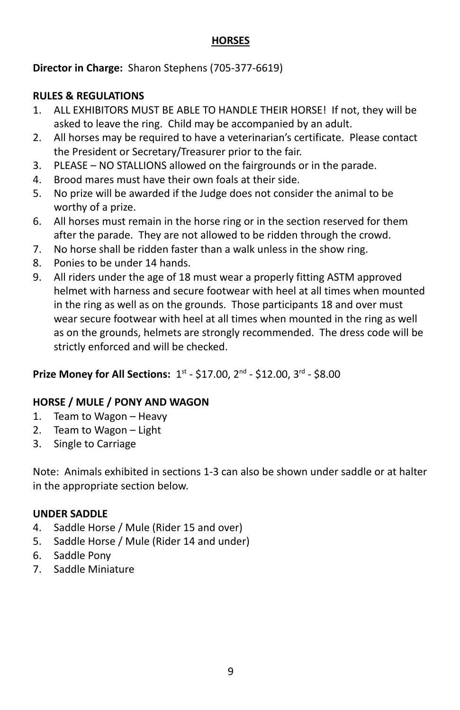#### **HORSES**

**Director in Charge:** Sharon Stephens (705-377-6619)

## **RULES & REGULATIONS**

- 1. ALL EXHIBITORS MUST BE ABLE TO HANDLE THEIR HORSE! If not, they will be asked to leave the ring. Child may be accompanied by an adult.
- 2. All horses may be required to have a veterinarian's certificate. Please contact the President or Secretary/Treasurer prior to the fair.
- 3. PLEASE NO STALLIONS allowed on the fairgrounds or in the parade.
- 4. Brood mares must have their own foals at their side.
- 5. No prize will be awarded if the Judge does not consider the animal to be worthy of a prize.
- 6. All horses must remain in the horse ring or in the section reserved for them after the parade. They are not allowed to be ridden through the crowd.
- 7. No horse shall be ridden faster than a walk unless in the show ring.
- 8. Ponies to be under 14 hands.
- 9. All riders under the age of 18 must wear a properly fitting ASTM approved helmet with harness and secure footwear with heel at all times when mounted in the ring as well as on the grounds. Those participants 18 and over must wear secure footwear with heel at all times when mounted in the ring as well as on the grounds, helmets are strongly recommended. The dress code will be strictly enforced and will be checked.

# **Prize Money for All Sections:**  $1^{st}$  **- \$17.00,**  $2^{nd}$  **- \$12.00,**  $3^{rd}$  **- \$8.00**

# **HORSE / MULE / PONY AND WAGON**

- 1. Team to Wagon Heavy
- 2. Team to Wagon Light
- 3. Single to Carriage

Note: Animals exhibited in sections 1-3 can also be shown under saddle or at halter in the appropriate section below.

## **UNDER SADDLE**

- 4. Saddle Horse / Mule (Rider 15 and over)
- 5. Saddle Horse / Mule (Rider 14 and under)
- 6. Saddle Pony
- 7. Saddle Miniature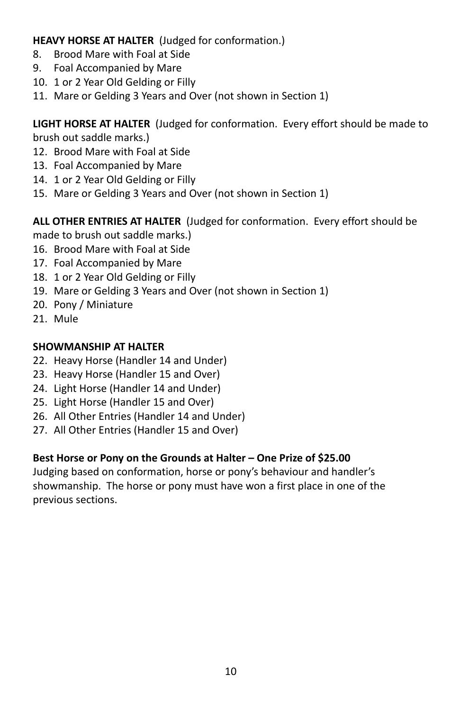**HEAVY HORSE AT HALTER** (Judged for conformation.)

- 8. Brood Mare with Foal at Side
- 9. Foal Accompanied by Mare
- 10. 1 or 2 Year Old Gelding or Filly
- 11. Mare or Gelding 3 Years and Over (not shown in Section 1)

**LIGHT HORSE AT HALTER** (Judged for conformation. Every effort should be made to brush out saddle marks.)

- 12. Brood Mare with Foal at Side
- 13. Foal Accompanied by Mare
- 14. 1 or 2 Year Old Gelding or Filly
- 15. Mare or Gelding 3 Years and Over (not shown in Section 1)

**ALL OTHER ENTRIES AT HALTER** (Judged for conformation. Every effort should be made to brush out saddle marks.)

- 16. Brood Mare with Foal at Side
- 17. Foal Accompanied by Mare
- 18. 1 or 2 Year Old Gelding or Filly
- 19. Mare or Gelding 3 Years and Over (not shown in Section 1)
- 20. Pony / Miniature
- 21. Mule

# **SHOWMANSHIP AT HALTER**

- 22. Heavy Horse (Handler 14 and Under)
- 23. Heavy Horse (Handler 15 and Over)
- 24. Light Horse (Handler 14 and Under)
- 25. Light Horse (Handler 15 and Over)
- 26. All Other Entries (Handler 14 and Under)
- 27. All Other Entries (Handler 15 and Over)

# **Best Horse or Pony on the Grounds at Halter – One Prize of \$25.00**

Judging based on conformation, horse or pony's behaviour and handler's showmanship. The horse or pony must have won a first place in one of the previous sections.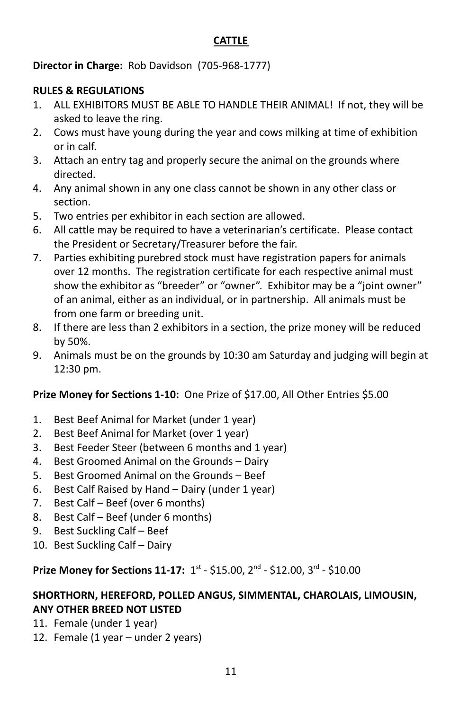#### **CATTLE**

**Director in Charge:** Rob Davidson (705-968-1777)

#### **RULES & REGULATIONS**

- 1. ALL EXHIBITORS MUST BE ABLE TO HANDLE THEIR ANIMAL! If not, they will be asked to leave the ring.
- 2. Cows must have young during the year and cows milking at time of exhibition or in calf.
- 3. Attach an entry tag and properly secure the animal on the grounds where directed.
- 4. Any animal shown in any one class cannot be shown in any other class or section.
- 5. Two entries per exhibitor in each section are allowed.
- 6. All cattle may be required to have a veterinarian's certificate. Please contact the President or Secretary/Treasurer before the fair.
- 7. Parties exhibiting purebred stock must have registration papers for animals over 12 months. The registration certificate for each respective animal must show the exhibitor as "breeder" or "owner". Exhibitor may be a "joint owner" of an animal, either as an individual, or in partnership. All animals must be from one farm or breeding unit.
- 8. If there are less than 2 exhibitors in a section, the prize money will be reduced by 50%.
- 9. Animals must be on the grounds by 10:30 am Saturday and judging will begin at 12:30 pm.

## **Prize Money for Sections 1-10:** One Prize of \$17.00, All Other Entries \$5.00

- 1. Best Beef Animal for Market (under 1 year)
- 2. Best Beef Animal for Market (over 1 year)
- 3. Best Feeder Steer (between 6 months and 1 year)
- 4. Best Groomed Animal on the Grounds Dairy
- 5. Best Groomed Animal on the Grounds Beef
- 6. Best Calf Raised by Hand Dairy (under 1 year)
- 7. Best Calf Beef (over 6 months)
- 8. Best Calf Beef (under 6 months)
- 9. Best Suckling Calf Beef
- 10. Best Suckling Calf Dairy

# **Prize Money for Sections 11-17:** 1<sup>st</sup> - \$15.00, 2<sup>nd</sup> - \$12.00, 3<sup>rd</sup> - \$10.00

## **SHORTHORN, HEREFORD, POLLED ANGUS, SIMMENTAL, CHAROLAIS, LIMOUSIN, ANY OTHER BREED NOT LISTED**

- 11. Female (under 1 year)
- 12. Female (1 year under 2 years)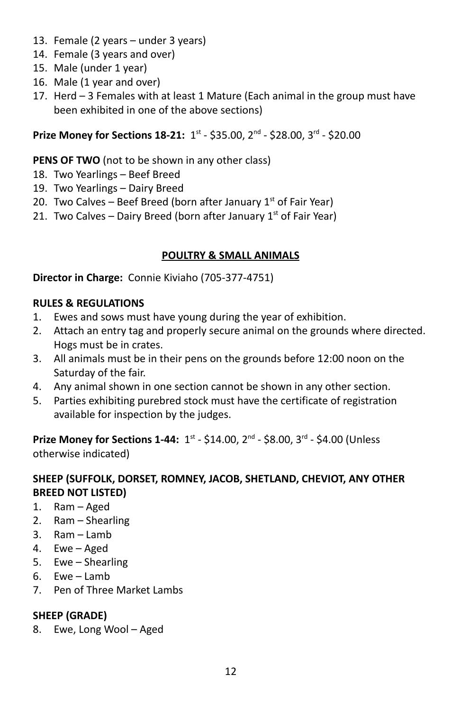- 13. Female (2 years under 3 years)
- 14. Female (3 years and over)
- 15. Male (under 1 year)
- 16. Male (1 year and over)
- 17. Herd 3 Females with at least 1 Mature (Each animal in the group must have been exhibited in one of the above sections)

**Prize Money for Sections 18-21:** 1st - \$35.00, 2<sup>nd</sup> - \$28.00, 3<sup>rd</sup> - \$20.00

# **PENS OF TWO** (not to be shown in any other class)

- 18. Two Yearlings Beef Breed
- 19. Two Yearlings Dairy Breed
- 20. Two Calves  $-$  Beef Breed (born after January  $1<sup>st</sup>$  of Fair Year)
- 21. Two Calves Dairy Breed (born after January  $1^{st}$  of Fair Year)

# **POULTRY & SMALL ANIMALS**

**Director in Charge:** Connie Kiviaho (705-377-4751)

#### **RULES & REGULATIONS**

- 1. Ewes and sows must have young during the year of exhibition.
- 2. Attach an entry tag and properly secure animal on the grounds where directed. Hogs must be in crates.
- 3. All animals must be in their pens on the grounds before 12:00 noon on the Saturday of the fair.
- 4. Any animal shown in one section cannot be shown in any other section.
- 5. Parties exhibiting purebred stock must have the certificate of registration available for inspection by the judges.

**Prize Money for Sections 1-44:** 1<sup>st</sup> - \$14.00, 2<sup>nd</sup> - \$8.00, 3<sup>rd</sup> - \$4.00 (Unless otherwise indicated)

#### **SHEEP (SUFFOLK, DORSET, ROMNEY, JACOB, SHETLAND, CHEVIOT, ANY OTHER BREED NOT LISTED)**

- 1. Ram Aged
- 2. Ram Shearling
- 3. Ram Lamb
- 4. Ewe Aged
- 5. Ewe Shearling
- 6. Ewe Lamb
- 7. Pen of Three Market Lambs

# **SHEEP (GRADE)**

8. Ewe, Long Wool – Aged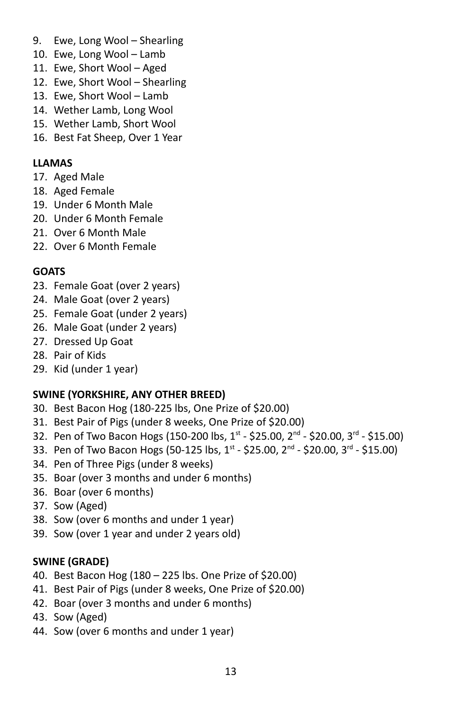- 9. Ewe, Long Wool Shearling
- 10. Ewe, Long Wool Lamb
- 11. Ewe, Short Wool Aged
- 12. Ewe, Short Wool Shearling
- 13. Ewe, Short Wool Lamb
- 14. Wether Lamb, Long Wool
- 15. Wether Lamb, Short Wool
- 16. Best Fat Sheep, Over 1 Year

#### **LLAMAS**

- 17. Aged Male
- 18. Aged Female
- 19. Under 6 Month Male
- 20. Under 6 Month Female
- 21. Over 6 Month Male
- 22. Over 6 Month Female

#### **GOATS**

- 23. Female Goat (over 2 years)
- 24. Male Goat (over 2 years)
- 25. Female Goat (under 2 years)
- 26. Male Goat (under 2 years)
- 27. Dressed Up Goat
- 28. Pair of Kids
- 29. Kid (under 1 year)

#### **SWINE (YORKSHIRE, ANY OTHER BREED)**

- 30. Best Bacon Hog (180-225 lbs, One Prize of \$20.00)
- 31. Best Pair of Pigs (under 8 weeks, One Prize of \$20.00)
- 32. Pen of Two Bacon Hogs (150-200 lbs, 1<sup>st</sup> \$25.00, 2<sup>nd</sup> \$20.00, 3<sup>rd</sup> \$15.00)
- 33. Pen of Two Bacon Hogs (50-125 lbs, 1<sup>st</sup> \$25.00, 2<sup>nd</sup> \$20.00, 3<sup>rd</sup> \$15.00)
- 34. Pen of Three Pigs (under 8 weeks)
- 35. Boar (over 3 months and under 6 months)
- 36. Boar (over 6 months)
- 37. Sow (Aged)
- 38. Sow (over 6 months and under 1 year)
- 39. Sow (over 1 year and under 2 years old)

#### **SWINE (GRADE)**

- 40. Best Bacon Hog (180 225 lbs. One Prize of \$20.00)
- 41. Best Pair of Pigs (under 8 weeks, One Prize of \$20.00)
- 42. Boar (over 3 months and under 6 months)
- 43. Sow (Aged)
- 44. Sow (over 6 months and under 1 year)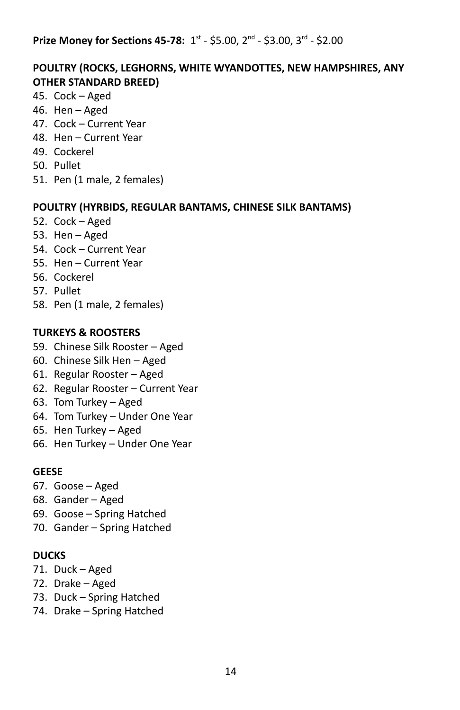#### **Prize Money for Sections 45-78:** 1st - \$5.00, 2<sup>nd</sup> - \$3.00, 3<sup>rd</sup> - \$2.00

#### **POULTRY (ROCKS, LEGHORNS, WHITE WYANDOTTES, NEW HAMPSHIRES, ANY OTHER STANDARD BREED)**

- 45. Cock Aged
- 46. Hen Aged
- 47. Cock Current Year
- 48. Hen Current Year
- 49. Cockerel
- 50. Pullet
- 51. Pen (1 male, 2 females)

#### **POULTRY (HYRBIDS, REGULAR BANTAMS, CHINESE SILK BANTAMS)**

- 52. Cock Aged
- 53. Hen Aged
- 54. Cock Current Year
- 55. Hen Current Year
- 56. Cockerel
- 57. Pullet
- 58. Pen (1 male, 2 females)

#### **TURKEYS & ROOSTERS**

- 59. Chinese Silk Rooster Aged
- 60. Chinese Silk Hen Aged
- 61. Regular Rooster Aged
- 62. Regular Rooster Current Year
- 63. Tom Turkey Aged
- 64. Tom Turkey Under One Year
- 65. Hen Turkey Aged
- 66. Hen Turkey Under One Year

#### **GEESE**

- 67. Goose Aged
- 68. Gander Aged
- 69. Goose Spring Hatched
- 70. Gander Spring Hatched

#### **DUCKS**

- 71. Duck Aged
- 72. Drake Aged
- 73. Duck Spring Hatched
- 74. Drake Spring Hatched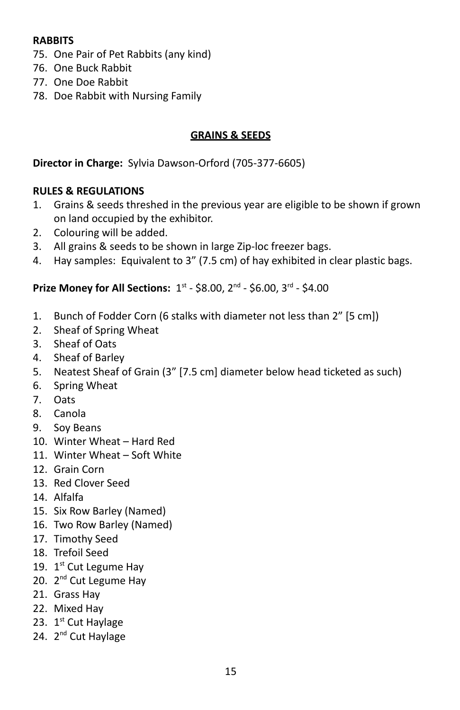#### **RABBITS**

- 75. One Pair of Pet Rabbits (any kind)
- 76. One Buck Rabbit
- 77. One Doe Rabbit
- 78. Doe Rabbit with Nursing Family

#### **GRAINS & SEEDS**

#### **Director in Charge:** Sylvia Dawson-Orford (705-377-6605)

#### **RULES & REGULATIONS**

- 1. Grains & seeds threshed in the previous year are eligible to be shown if grown on land occupied by the exhibitor.
- 2. Colouring will be added.
- 3. All grains & seeds to be shown in large Zip-loc freezer bags.
- 4. Hay samples: Equivalent to 3" (7.5 cm) of hay exhibited in clear plastic bags.

- 1. Bunch of Fodder Corn (6 stalks with diameter not less than 2" [5 cm])
- 2. Sheaf of Spring Wheat
- 3. Sheaf of Oats
- 4. Sheaf of Barley
- 5. Neatest Sheaf of Grain (3" [7.5 cm] diameter below head ticketed as such)
- 6. Spring Wheat
- 7. Oats
- 8. Canola
- 9. Soy Beans
- 10. Winter Wheat Hard Red
- 11. Winter Wheat Soft White
- 12. Grain Corn
- 13. Red Clover Seed
- 14. Alfalfa
- 15. Six Row Barley (Named)
- 16. Two Row Barley (Named)
- 17. Timothy Seed
- 18. Trefoil Seed
- 19. 1st Cut Legume Hay
- 20. 2<sup>nd</sup> Cut Legume Hay
- 21. Grass Hay
- 22. Mixed Hay
- 23. 1st Cut Haylage
- 24. 2<sup>nd</sup> Cut Haylage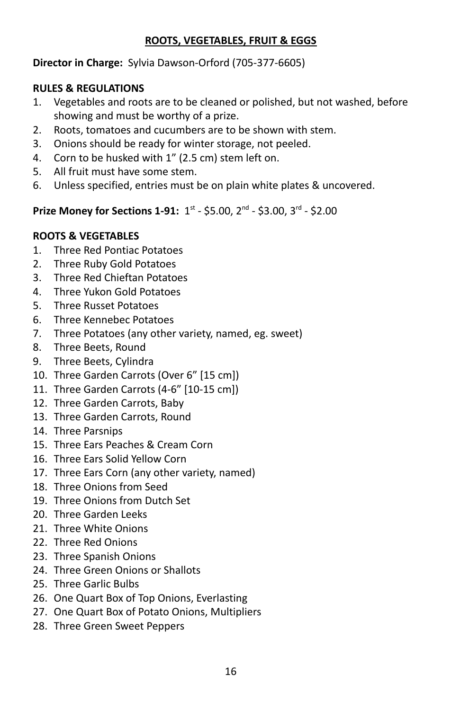#### **ROOTS, VEGETABLES, FRUIT & EGGS**

#### **Director in Charge:** Sylvia Dawson-Orford (705-377-6605)

#### **RULES & REGULATIONS**

- 1. Vegetables and roots are to be cleaned or polished, but not washed, before showing and must be worthy of a prize.
- 2. Roots, tomatoes and cucumbers are to be shown with stem.
- 3. Onions should be ready for winter storage, not peeled.
- 4. Corn to be husked with 1" (2.5 cm) stem left on.
- 5. All fruit must have some stem.
- 6. Unless specified, entries must be on plain white plates & uncovered.

## **Prize Money for Sections 1-91:** 1<sup>st</sup> - \$5.00, 2<sup>nd</sup> - \$3.00, 3<sup>rd</sup> - \$2.00

#### **ROOTS & VEGETABLES**

- 1. Three Red Pontiac Potatoes
- 2. Three Ruby Gold Potatoes
- 3. Three Red Chieftan Potatoes
- 4. Three Yukon Gold Potatoes
- 5. Three Russet Potatoes
- 6. Three Kennebec Potatoes
- 7. Three Potatoes (any other variety, named, eg. sweet)
- 8. Three Beets, Round
- 9. Three Beets, Cylindra
- 10. Three Garden Carrots (Over 6" [15 cm])
- 11. Three Garden Carrots (4-6" [10-15 cm])
- 12. Three Garden Carrots, Baby
- 13. Three Garden Carrots, Round
- 14. Three Parsnips
- 15. Three Ears Peaches & Cream Corn
- 16. Three Ears Solid Yellow Corn
- 17. Three Ears Corn (any other variety, named)
- 18. Three Onions from Seed
- 19. Three Onions from Dutch Set
- 20. Three Garden Leeks
- 21. Three White Onions
- 22. Three Red Onions
- 23. Three Spanish Onions
- 24. Three Green Onions or Shallots
- 25. Three Garlic Bulbs
- 26. One Quart Box of Top Onions, Everlasting
- 27. One Quart Box of Potato Onions, Multipliers
- 28. Three Green Sweet Peppers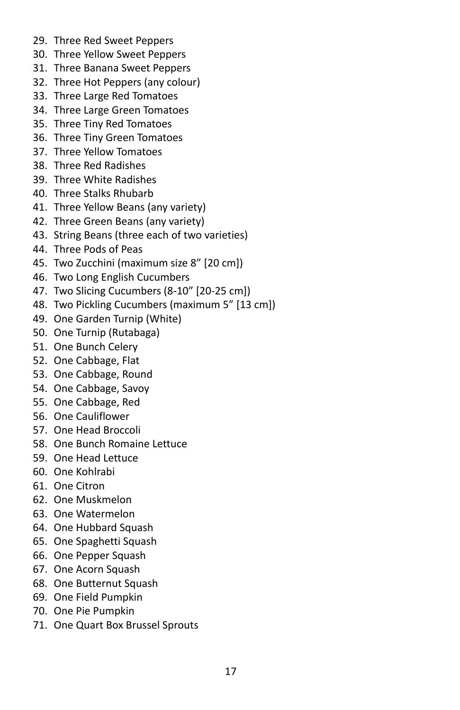- 29. Three Red Sweet Peppers
- 30. Three Yellow Sweet Peppers
- 31. Three Banana Sweet Peppers
- 32. Three Hot Peppers (any colour)
- 33. Three Large Red Tomatoes
- 34. Three Large Green Tomatoes
- 35. Three Tiny Red Tomatoes
- 36. Three Tiny Green Tomatoes
- 37. Three Yellow Tomatoes
- 38. Three Red Radishes
- 39. Three White Radishes
- 40. Three Stalks Rhubarb
- 41. Three Yellow Beans (any variety)
- 42. Three Green Beans (any variety)
- 43. String Beans (three each of two varieties)
- 44. Three Pods of Peas
- 45. Two Zucchini (maximum size 8" [20 cm])
- 46. Two Long English Cucumbers
- 47. Two Slicing Cucumbers (8-10" [20-25 cm])
- 48. Two Pickling Cucumbers (maximum 5" [13 cm])
- 49. One Garden Turnip (White)
- 50. One Turnip (Rutabaga)
- 51. One Bunch Celery
- 52. One Cabbage, Flat
- 53. One Cabbage, Round
- 54. One Cabbage, Savoy
- 55. One Cabbage, Red
- 56. One Cauliflower
- 57. One Head Broccoli
- 58. One Bunch Romaine Lettuce
- 59. One Head Lettuce
- 60. One Kohlrabi
- 61. One Citron
- 62. One Muskmelon
- 63. One Watermelon
- 64. One Hubbard Squash
- 65. One Spaghetti Squash
- 66. One Pepper Squash
- 67. One Acorn Squash
- 68. One Butternut Squash
- 69. One Field Pumpkin
- 70. One Pie Pumpkin
- 71. One Quart Box Brussel Sprouts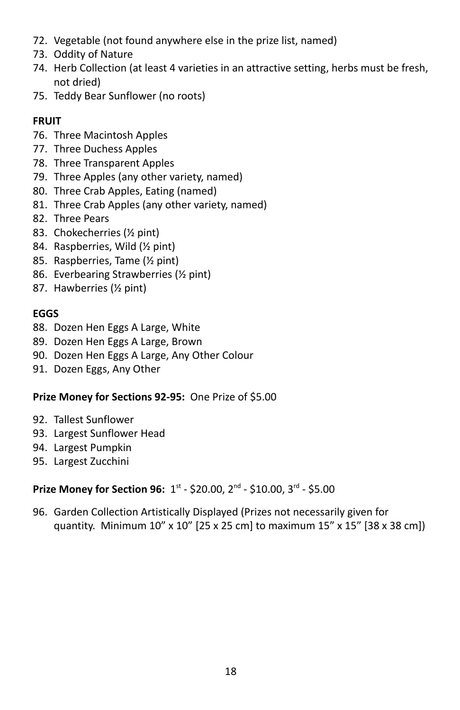- 72. Vegetable (not found anywhere else in the prize list, named)
- 73. Oddity of Nature
- 74. Herb Collection (at least 4 varieties in an attractive setting, herbs must be fresh, not dried)
- 75. Teddy Bear Sunflower (no roots)

# **FRUIT**

- 76. Three Macintosh Apples
- 77. Three Duchess Apples
- 78. Three Transparent Apples
- 79. Three Apples (any other variety, named)
- 80. Three Crab Apples, Eating (named)
- 81. Three Crab Apples (any other variety, named)
- 82. Three Pears
- 83. Chokecherries (½ pint)
- 84. Raspberries, Wild (½ pint)
- 85. Raspberries, Tame (½ pint)
- 86. Everbearing Strawberries (½ pint)
- 87. Hawberries (½ pint)

## **EGGS**

- 88. Dozen Hen Eggs A Large, White
- 89. Dozen Hen Eggs A Large, Brown
- 90. Dozen Hen Eggs A Large, Any Other Colour
- 91. Dozen Eggs, Any Other

## **Prize Money for Sections 92-95:** One Prize of \$5.00

- 92. Tallest Sunflower
- 93. Largest Sunflower Head
- 94. Largest Pumpkin
- 95. Largest Zucchini

## **Prize Money for Section 96:** 1st - \$20.00, 2<sup>nd</sup> - \$10.00, 3<sup>rd</sup> - \$5.00

96. Garden Collection Artistically Displayed (Prizes not necessarily given for quantity. Minimum 10" x 10" [25 x 25 cm] to maximum 15" x 15" [38 x 38 cm])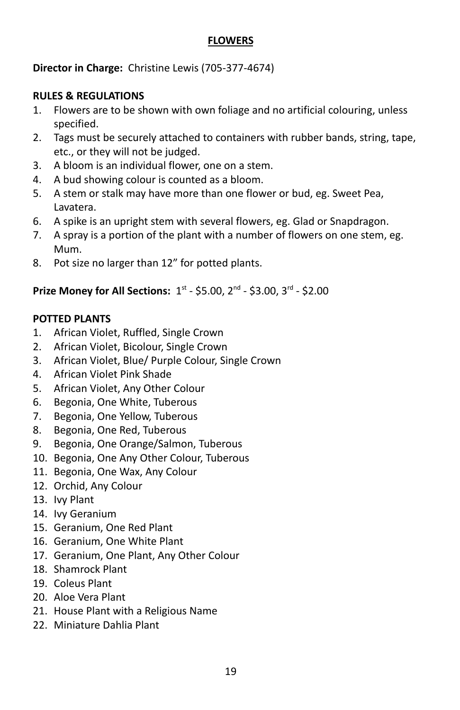#### **FLOWERS**

**Director in Charge:** Christine Lewis (705-377-4674)

#### **RULES & REGULATIONS**

- 1. Flowers are to be shown with own foliage and no artificial colouring, unless specified.
- 2. Tags must be securely attached to containers with rubber bands, string, tape, etc., or they will not be judged.
- 3. A bloom is an individual flower, one on a stem.
- 4. A bud showing colour is counted as a bloom.
- 5. A stem or stalk may have more than one flower or bud, eg. Sweet Pea, Lavatera.
- 6. A spike is an upright stem with several flowers, eg. Glad or Snapdragon.
- 7. A spray is a portion of the plant with a number of flowers on one stem, eg. Mum.
- 8. Pot size no larger than 12" for potted plants.

# **Prize Money for All Sections:**  $1^{st}$  **- \$5.00,**  $2^{nd}$  **- \$3.00,**  $3^{rd}$  **- \$2.00**

#### **POTTED PLANTS**

- 1. African Violet, Ruffled, Single Crown
- 2. African Violet, Bicolour, Single Crown
- 3. African Violet, Blue/ Purple Colour, Single Crown
- 4. African Violet Pink Shade
- 5. African Violet, Any Other Colour
- 6. Begonia, One White, Tuberous
- 7. Begonia, One Yellow, Tuberous
- 8. Begonia, One Red, Tuberous
- 9. Begonia, One Orange/Salmon, Tuberous
- 10. Begonia, One Any Other Colour, Tuberous
- 11. Begonia, One Wax, Any Colour
- 12. Orchid, Any Colour
- 13. Ivy Plant
- 14. Ivy Geranium
- 15. Geranium, One Red Plant
- 16. Geranium, One White Plant
- 17. Geranium, One Plant, Any Other Colour
- 18. Shamrock Plant
- 19. Coleus Plant
- 20. Aloe Vera Plant
- 21. House Plant with a Religious Name
- 22. Miniature Dahlia Plant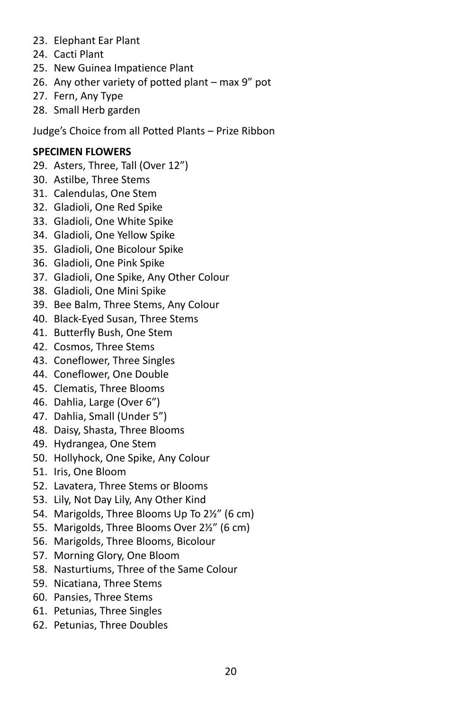- 23. Elephant Ear Plant
- 24. Cacti Plant
- 25. New Guinea Impatience Plant
- 26. Any other variety of potted plant max 9" pot
- 27. Fern, Any Type
- 28. Small Herb garden

Judge's Choice from all Potted Plants – Prize Ribbon

## **SPECIMEN FLOWERS**

- 29. Asters, Three, Tall (Over 12")
- 30. Astilbe, Three Stems
- 31. Calendulas, One Stem
- 32. Gladioli, One Red Spike
- 33. Gladioli, One White Spike
- 34. Gladioli, One Yellow Spike
- 35. Gladioli, One Bicolour Spike
- 36. Gladioli, One Pink Spike
- 37. Gladioli, One Spike, Any Other Colour
- 38. Gladioli, One Mini Spike
- 39. Bee Balm, Three Stems, Any Colour
- 40. Black-Eyed Susan, Three Stems
- 41. Butterfly Bush, One Stem
- 42. Cosmos, Three Stems
- 43. Coneflower, Three Singles
- 44. Coneflower, One Double
- 45. Clematis, Three Blooms
- 46. Dahlia, Large (Over 6")
- 47. Dahlia, Small (Under 5")
- 48. Daisy, Shasta, Three Blooms
- 49. Hydrangea, One Stem
- 50. Hollyhock, One Spike, Any Colour
- 51. Iris, One Bloom
- 52. Lavatera, Three Stems or Blooms
- 53. Lily, Not Day Lily, Any Other Kind
- 54. Marigolds, Three Blooms Up To 2½" (6 cm)
- 55. Marigolds, Three Blooms Over 2½" (6 cm)
- 56. Marigolds, Three Blooms, Bicolour
- 57. Morning Glory, One Bloom
- 58. Nasturtiums, Three of the Same Colour
- 59. Nicatiana, Three Stems
- 60. Pansies, Three Stems
- 61. Petunias, Three Singles
- 62. Petunias, Three Doubles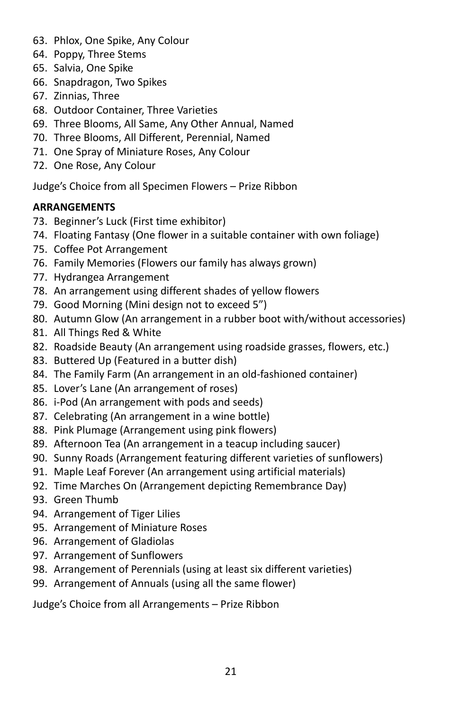- 63. Phlox, One Spike, Any Colour
- 64. Poppy, Three Stems
- 65. Salvia, One Spike
- 66. Snapdragon, Two Spikes
- 67. Zinnias, Three
- 68. Outdoor Container, Three Varieties
- 69. Three Blooms, All Same, Any Other Annual, Named
- 70. Three Blooms, All Different, Perennial, Named
- 71. One Spray of Miniature Roses, Any Colour
- 72. One Rose, Any Colour

Judge's Choice from all Specimen Flowers – Prize Ribbon

#### **ARRANGEMENTS**

- 73. Beginner's Luck (First time exhibitor)
- 74. Floating Fantasy (One flower in a suitable container with own foliage)
- 75. Coffee Pot Arrangement
- 76. Family Memories (Flowers our family has always grown)
- 77. Hydrangea Arrangement
- 78. An arrangement using different shades of yellow flowers
- 79. Good Morning (Mini design not to exceed 5")
- 80. Autumn Glow (An arrangement in a rubber boot with/without accessories)
- 81. All Things Red & White
- 82. Roadside Beauty (An arrangement using roadside grasses, flowers, etc.)
- 83. Buttered Up (Featured in a butter dish)
- 84. The Family Farm (An arrangement in an old-fashioned container)
- 85. Lover's Lane (An arrangement of roses)
- 86. i-Pod (An arrangement with pods and seeds)
- 87. Celebrating (An arrangement in a wine bottle)
- 88. Pink Plumage (Arrangement using pink flowers)
- 89. Afternoon Tea (An arrangement in a teacup including saucer)
- 90. Sunny Roads (Arrangement featuring different varieties of sunflowers)
- 91. Maple Leaf Forever (An arrangement using artificial materials)
- 92. Time Marches On (Arrangement depicting Remembrance Day)
- 93. Green Thumb
- 94. Arrangement of Tiger Lilies
- 95. Arrangement of Miniature Roses
- 96. Arrangement of Gladiolas
- 97. Arrangement of Sunflowers
- 98. Arrangement of Perennials (using at least six different varieties)
- 99. Arrangement of Annuals (using all the same flower)

Judge's Choice from all Arrangements – Prize Ribbon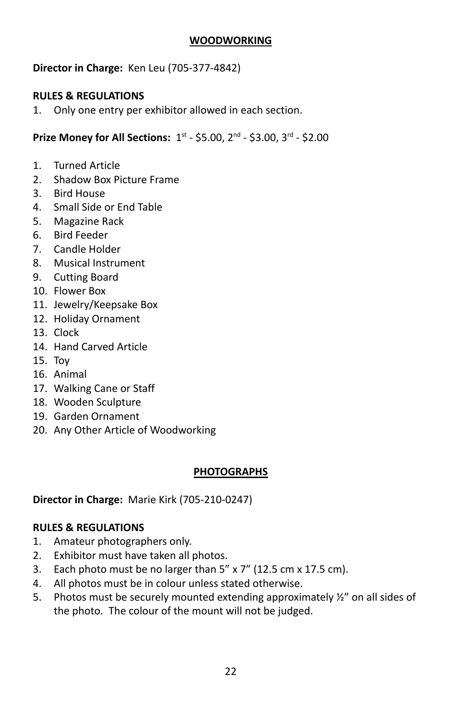#### **WOODWORKING**

#### **Director in Charge:** Ken Leu (705-377-4842)

#### **RULES & REGULATIONS**

1. Only one entry per exhibitor allowed in each section.

**Prize Money for All Sections:**  $1^{st}$  **- \$5.00,**  $2^{nd}$  **- \$3.00,**  $3^{rd}$  **- \$2.00** 

- 1. Turned Article
- 2. Shadow Box Picture Frame
- 3. Bird House
- 4. Small Side or End Table
- 5. Magazine Rack
- 6. Bird Feeder
- 7. Candle Holder
- 8. Musical Instrument
- 9. Cutting Board
- 10. Flower Box
- 11. Jewelry/Keepsake Box
- 12. Holiday Ornament
- 13. Clock
- 14. Hand Carved Article
- 15. Toy
- 16. Animal
- 17. Walking Cane or Staff
- 18. Wooden Sculpture
- 19. Garden Ornament
- 20. Any Other Article of Woodworking

#### **PHOTOGRAPHS**

**Director in Charge:** Marie Kirk (705-210-0247)

#### **RULES & REGULATIONS**

- 1. Amateur photographers only.
- 2. Exhibitor must have taken all photos.
- 3. Each photo must be no larger than 5" x 7" (12.5 cm x 17.5 cm).
- 4. All photos must be in colour unless stated otherwise.
- 5. Photos must be securely mounted extending approximately ½" on all sides of the photo. The colour of the mount will not be judged.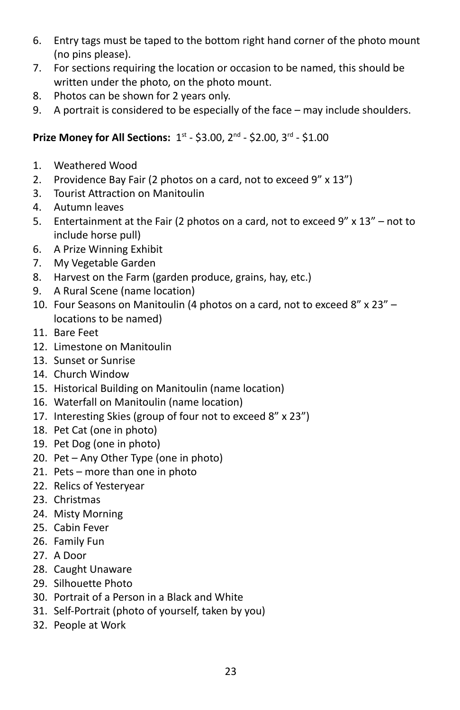- 6. Entry tags must be taped to the bottom right hand corner of the photo mount (no pins please).
- 7. For sections requiring the location or occasion to be named, this should be written under the photo, on the photo mount.
- 8. Photos can be shown for 2 years only.
- 9. A portrait is considered to be especially of the face may include shoulders.

- 1. Weathered Wood
- 2. Providence Bay Fair (2 photos on a card, not to exceed 9" x 13")
- 3. Tourist Attraction on Manitoulin
- 4. Autumn leaves
- 5. Entertainment at the Fair (2 photos on a card, not to exceed  $9'' \times 13'' -$  not to include horse pull)
- 6. A Prize Winning Exhibit
- 7. My Vegetable Garden
- 8. Harvest on the Farm (garden produce, grains, hay, etc.)
- 9. A Rural Scene (name location)
- 10. Four Seasons on Manitoulin (4 photos on a card, not to exceed 8" x 23" locations to be named)
- 11. Bare Feet
- 12. Limestone on Manitoulin
- 13. Sunset or Sunrise
- 14. Church Window
- 15. Historical Building on Manitoulin (name location)
- 16. Waterfall on Manitoulin (name location)
- 17. Interesting Skies (group of four not to exceed 8" x 23")
- 18. Pet Cat (one in photo)
- 19. Pet Dog (one in photo)
- 20. Pet Any Other Type (one in photo)
- 21. Pets more than one in photo
- 22. Relics of Yesteryear
- 23. Christmas
- 24. Misty Morning
- 25. Cabin Fever
- 26. Family Fun
- 27. A Door
- 28. Caught Unaware
- 29. Silhouette Photo
- 30. Portrait of a Person in a Black and White
- 31. Self-Portrait (photo of yourself, taken by you)
- 32. People at Work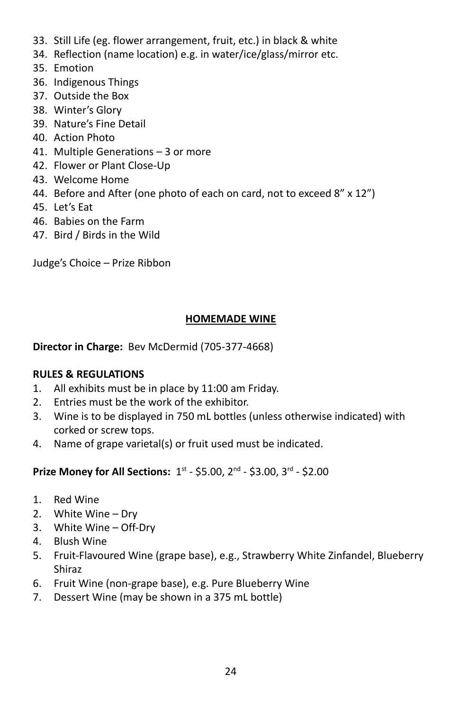- 33. Still Life (eg. flower arrangement, fruit, etc.) in black & white
- 34. Reflection (name location) e.g. in water/ice/glass/mirror etc.
- 35. Emotion
- 36. Indigenous Things
- 37. Outside the Box
- 38. Winter's Glory
- 39. Nature's Fine Detail
- 40. Action Photo
- 41. Multiple Generations 3 or more
- 42. Flower or Plant Close-Up
- 43. Welcome Home
- 44. Before and After (one photo of each on card, not to exceed 8" x 12")
- 45. Let's Eat
- 46. Babies on the Farm
- 47. Bird / Birds in the Wild

Judge's Choice – Prize Ribbon

#### **HOMEMADE WINE**

**Director in Charge:** Bev McDermid (705-377-4668)

#### **RULES & REGULATIONS**

- 1. All exhibits must be in place by 11:00 am Friday.
- 2. Entries must be the work of the exhibitor.
- 3. Wine is to be displayed in 750 mL bottles (unless otherwise indicated) with corked or screw tops.
- 4. Name of grape varietal(s) or fruit used must be indicated.

- 1. Red Wine
- 2. White Wine Dry
- 3. White Wine Off-Dry
- 4. Blush Wine
- 5. Fruit-Flavoured Wine (grape base), e.g., Strawberry White Zinfandel, Blueberry Shiraz
- 6. Fruit Wine (non-grape base), e.g. Pure Blueberry Wine
- 7. Dessert Wine (may be shown in a 375 mL bottle)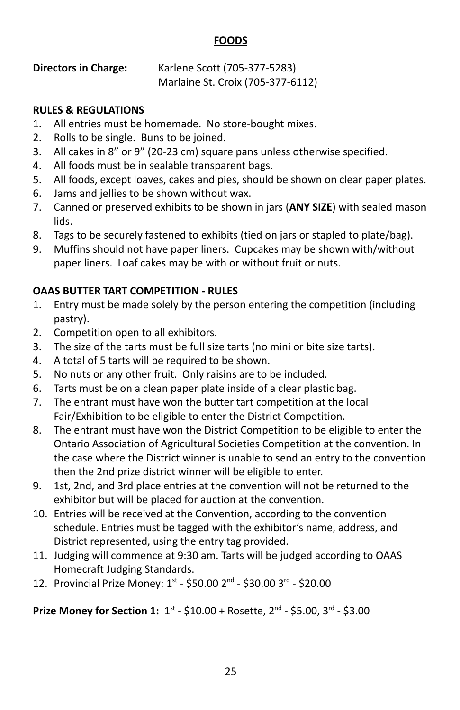#### **FOODS**

#### **Directors in Charge:** Karlene Scott (705-377-5283) Marlaine St. Croix (705-377-6112)

#### **RULES & REGULATIONS**

- 1. All entries must be homemade. No store-bought mixes.
- 2. Rolls to be single. Buns to be joined.
- 3. All cakes in 8" or 9" (20-23 cm) square pans unless otherwise specified.
- 4. All foods must be in sealable transparent bags.
- 5. All foods, except loaves, cakes and pies, should be shown on clear paper plates.
- 6. Jams and jellies to be shown without wax.
- 7. Canned or preserved exhibits to be shown in jars (**ANY SIZE**) with sealed mason lids.
- 8. Tags to be securely fastened to exhibits (tied on jars or stapled to plate/bag).
- 9. Muffins should not have paper liners. Cupcakes may be shown with/without paper liners. Loaf cakes may be with or without fruit or nuts.

# **OAAS BUTTER TART COMPETITION - RULES**

- 1. Entry must be made solely by the person entering the competition (including pastry).
- 2. Competition open to all exhibitors.
- 3. The size of the tarts must be full size tarts (no mini or bite size tarts).
- 4. A total of 5 tarts will be required to be shown.
- 5. No nuts or any other fruit. Only raisins are to be included.
- 6. Tarts must be on a clean paper plate inside of a clear plastic bag.
- 7. The entrant must have won the butter tart competition at the local Fair/Exhibition to be eligible to enter the District Competition.
- 8. The entrant must have won the District Competition to be eligible to enter the Ontario Association of Agricultural Societies Competition at the convention. In the case where the District winner is unable to send an entry to the convention then the 2nd prize district winner will be eligible to enter.
- 9. 1st, 2nd, and 3rd place entries at the convention will not be returned to the exhibitor but will be placed for auction at the convention.
- 10. Entries will be received at the Convention, according to the convention schedule. Entries must be tagged with the exhibitor's name, address, and District represented, using the entry tag provided.
- 11. Judging will commence at 9:30 am. Tarts will be judged according to OAAS Homecraft Judging Standards.
- 12. Provincial Prize Money: 1st \$50.00 2<sup>nd</sup> \$30.00 3<sup>rd</sup> \$20.00

**Prize Money for Section 1:** 1<sup>st</sup> - \$10.00 + Rosette, 2<sup>nd</sup> - \$5.00, 3<sup>rd</sup> - \$3.00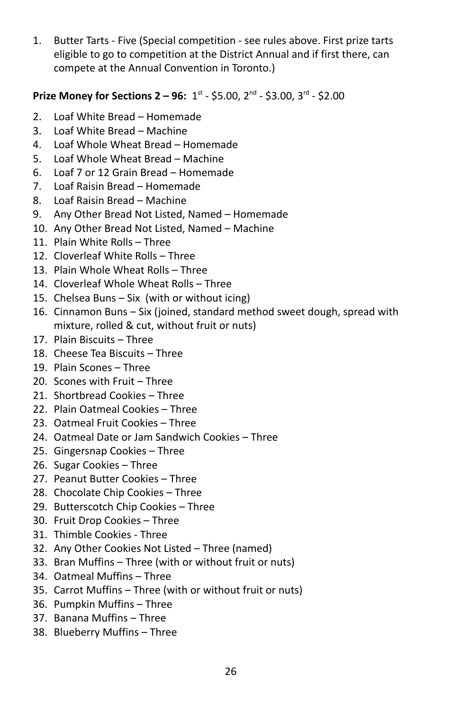1. Butter Tarts - Five (Special competition - see rules above. First prize tarts eligible to go to competition at the District Annual and if first there, can compete at the Annual Convention in Toronto.)

## **Prize Money for Sections 2 – 96:** 1<sup>st</sup> - \$5.00, 2<sup>nd</sup> - \$3.00, 3<sup>rd</sup> - \$2.00

- 2. Loaf White Bread Homemade
- 3. Loaf White Bread Machine
- 4. Loaf Whole Wheat Bread Homemade
- 5. Loaf Whole Wheat Bread Machine
- 6. Loaf 7 or 12 Grain Bread Homemade
- 7. Loaf Raisin Bread Homemade
- 8. Loaf Raisin Bread Machine
- 9. Any Other Bread Not Listed, Named Homemade
- 10. Any Other Bread Not Listed, Named Machine
- 11. Plain White Rolls Three
- 12. Cloverleaf White Rolls Three
- 13. Plain Whole Wheat Rolls Three
- 14. Cloverleaf Whole Wheat Rolls Three
- 15. Chelsea Buns Six (with or without icing)
- 16. Cinnamon Buns Six (joined, standard method sweet dough, spread with mixture, rolled & cut, without fruit or nuts)
- 17. Plain Biscuits Three
- 18. Cheese Tea Biscuits Three
- 19. Plain Scones Three
- 20. Scones with Fruit Three
- 21. Shortbread Cookies Three
- 22. Plain Oatmeal Cookies Three
- 23. Oatmeal Fruit Cookies Three
- 24. Oatmeal Date or Jam Sandwich Cookies Three
- 25. Gingersnap Cookies Three
- 26. Sugar Cookies Three
- 27. Peanut Butter Cookies Three
- 28. Chocolate Chip Cookies Three
- 29. Butterscotch Chip Cookies Three
- 30. Fruit Drop Cookies Three
- 31. Thimble Cookies Three
- 32. Any Other Cookies Not Listed Three (named)
- 33. Bran Muffins Three (with or without fruit or nuts)
- 34. Oatmeal Muffins Three
- 35. Carrot Muffins Three (with or without fruit or nuts)
- 36. Pumpkin Muffins Three
- 37. Banana Muffins Three
- 38. Blueberry Muffins Three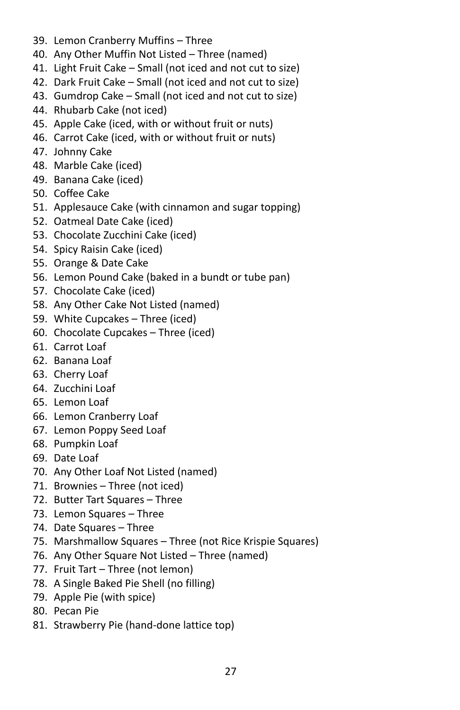- 39. Lemon Cranberry Muffins Three
- 40. Any Other Muffin Not Listed Three (named)
- 41. Light Fruit Cake Small (not iced and not cut to size)
- 42. Dark Fruit Cake Small (not iced and not cut to size)
- 43. Gumdrop Cake Small (not iced and not cut to size)
- 44. Rhubarb Cake (not iced)
- 45. Apple Cake (iced, with or without fruit or nuts)
- 46. Carrot Cake (iced, with or without fruit or nuts)
- 47. Johnny Cake
- 48. Marble Cake (iced)
- 49. Banana Cake (iced)
- 50. Coffee Cake
- 51. Applesauce Cake (with cinnamon and sugar topping)
- 52. Oatmeal Date Cake (iced)
- 53. Chocolate Zucchini Cake (iced)
- 54. Spicy Raisin Cake (iced)
- 55. Orange & Date Cake
- 56. Lemon Pound Cake (baked in a bundt or tube pan)
- 57. Chocolate Cake (iced)
- 58. Any Other Cake Not Listed (named)
- 59. White Cupcakes Three (iced)
- 60. Chocolate Cupcakes Three (iced)
- 61. Carrot Loaf
- 62. Banana Loaf
- 63. Cherry Loaf
- 64. Zucchini Loaf
- 65. Lemon Loaf
- 66. Lemon Cranberry Loaf
- 67. Lemon Poppy Seed Loaf
- 68. Pumpkin Loaf
- 69. Date Loaf
- 70. Any Other Loaf Not Listed (named)
- 71. Brownies Three (not iced)
- 72. Butter Tart Squares Three
- 73. Lemon Squares Three
- 74. Date Squares Three
- 75. Marshmallow Squares Three (not Rice Krispie Squares)
- 76. Any Other Square Not Listed Three (named)
- 77. Fruit Tart Three (not lemon)
- 78. A Single Baked Pie Shell (no filling)
- 79. Apple Pie (with spice)
- 80. Pecan Pie
- 81. Strawberry Pie (hand-done lattice top)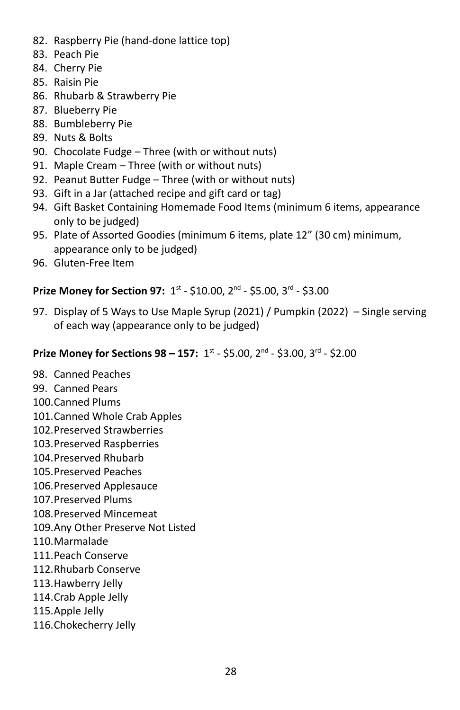- 82. Raspberry Pie (hand-done lattice top)
- 83. Peach Pie
- 84. Cherry Pie
- 85. Raisin Pie
- 86. Rhubarb & Strawberry Pie
- 87. Blueberry Pie
- 88. Bumbleberry Pie
- 89. Nuts & Bolts
- 90. Chocolate Fudge Three (with or without nuts)
- 91. Maple Cream Three (with or without nuts)
- 92. Peanut Butter Fudge Three (with or without nuts)
- 93. Gift in a Jar (attached recipe and gift card or tag)
- 94. Gift Basket Containing Homemade Food Items (minimum 6 items, appearance only to be judged)
- 95. Plate of Assorted Goodies (minimum 6 items, plate 12" (30 cm) minimum, appearance only to be judged)
- 96. Gluten-Free Item

## **Prize Money for Section 97:** 1<sup>st</sup> - \$10.00, 2<sup>nd</sup> - \$5.00, 3<sup>rd</sup> - \$3.00

97. Display of 5 Ways to Use Maple Syrup (2021) / Pumpkin (2022) – Single serving of each way (appearance only to be judged)

#### **Prize Money for Sections 98 – 157:** 1<sup>st</sup> - \$5.00, 2<sup>nd</sup> - \$3.00, 3<sup>rd</sup> - \$2.00

- 98. Canned Peaches
- 99. Canned Pears
- 100.Canned Plums
- 101.Canned Whole Crab Apples
- 102.Preserved Strawberries
- 103.Preserved Raspberries
- 104.Preserved Rhubarb
- 105.Preserved Peaches
- 106.Preserved Applesauce
- 107.Preserved Plums
- 108.Preserved Mincemeat
- 109.Any Other Preserve Not Listed
- 110.Marmalade
- 111.Peach Conserve
- 112.Rhubarb Conserve
- 113.Hawberry Jelly
- 114.Crab Apple Jelly
- 115.Apple Jelly
- 116.Chokecherry Jelly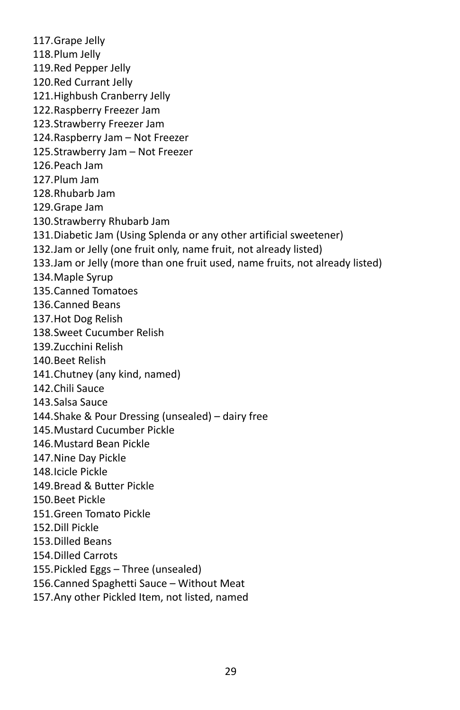117.Grape Jelly 118.Plum Jelly 119.Red Pepper Jelly 120.Red Currant Jelly 121.Highbush Cranberry Jelly 122.Raspberry Freezer Jam 123.Strawberry Freezer Jam 124.Raspberry Jam – Not Freezer 125.Strawberry Jam – Not Freezer 126.Peach Jam 127.Plum Jam 128.Rhubarb Jam 129.Grape Jam 130.Strawberry Rhubarb Jam 131.Diabetic Jam (Using Splenda or any other artificial sweetener) 132.Jam or Jelly (one fruit only, name fruit, not already listed) 133.Jam or Jelly (more than one fruit used, name fruits, not already listed) 134.Maple Syrup 135.Canned Tomatoes 136.Canned Beans 137.Hot Dog Relish 138.Sweet Cucumber Relish 139.Zucchini Relish 140.Beet Relish 141.Chutney (any kind, named) 142.Chili Sauce 143.Salsa Sauce 144.Shake & Pour Dressing (unsealed) – dairy free 145.Mustard Cucumber Pickle 146.Mustard Bean Pickle 147.Nine Day Pickle 148.Icicle Pickle 149.Bread & Butter Pickle 150.Beet Pickle 151.Green Tomato Pickle 152.Dill Pickle 153.Dilled Beans 154.Dilled Carrots 155.Pickled Eggs – Three (unsealed) 156.Canned Spaghetti Sauce – Without Meat 157.Any other Pickled Item, not listed, named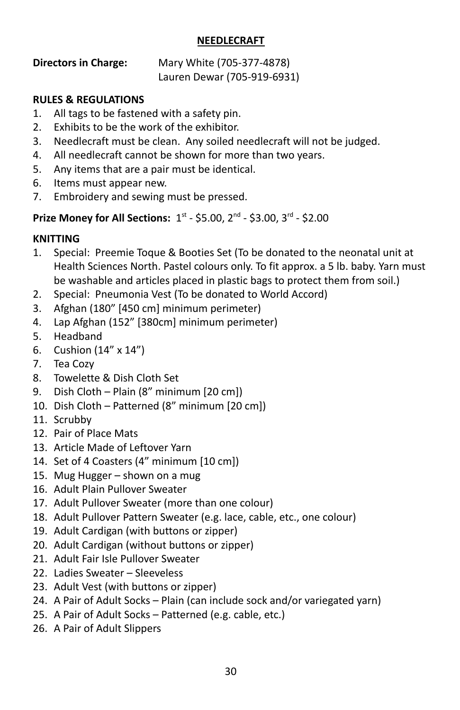#### **NEEDLECRAFT**

# **Directors in Charge:** Mary White (705-377-4878)

Lauren Dewar (705-919-6931)

#### **RULES & REGULATIONS**

- 1. All tags to be fastened with a safety pin.
- 2. Exhibits to be the work of the exhibitor.
- 3. Needlecraft must be clean. Any soiled needlecraft will not be judged.
- 4. All needlecraft cannot be shown for more than two years.
- 5. Any items that are a pair must be identical.
- 6. Items must appear new.
- 7. Embroidery and sewing must be pressed.

## **Prize Money for All Sections:**  $1^{st}$  **- \$5.00,**  $2^{nd}$  **- \$3.00,**  $3^{rd}$  **- \$2.00**

# **KNITTING**

- 1. Special: Preemie Toque & Booties Set (To be donated to the neonatal unit at Health Sciences North. Pastel colours only. To fit approx. a 5 lb. baby. Yarn must be washable and articles placed in plastic bags to protect them from soil.)
- 2. Special: Pneumonia Vest (To be donated to World Accord)
- 3. Afghan (180" [450 cm] minimum perimeter)
- 4. Lap Afghan (152" [380cm] minimum perimeter)
- 5. Headband
- 6. Cushion (14" x 14")
- 7. Tea Cozy
- 8. Towelette & Dish Cloth Set
- 9. Dish Cloth Plain (8" minimum [20 cm])
- 10. Dish Cloth Patterned (8" minimum [20 cm])
- 11. Scrubby
- 12. Pair of Place Mats
- 13. Article Made of Leftover Yarn
- 14. Set of 4 Coasters (4" minimum [10 cm])
- 15. Mug Hugger shown on a mug
- 16. Adult Plain Pullover Sweater
- 17. Adult Pullover Sweater (more than one colour)
- 18. Adult Pullover Pattern Sweater (e.g. lace, cable, etc., one colour)
- 19. Adult Cardigan (with buttons or zipper)
- 20. Adult Cardigan (without buttons or zipper)
- 21. Adult Fair Isle Pullover Sweater
- 22. Ladies Sweater Sleeveless
- 23. Adult Vest (with buttons or zipper)
- 24. A Pair of Adult Socks Plain (can include sock and/or variegated yarn)
- 25. A Pair of Adult Socks Patterned (e.g. cable, etc.)
- 26. A Pair of Adult Slippers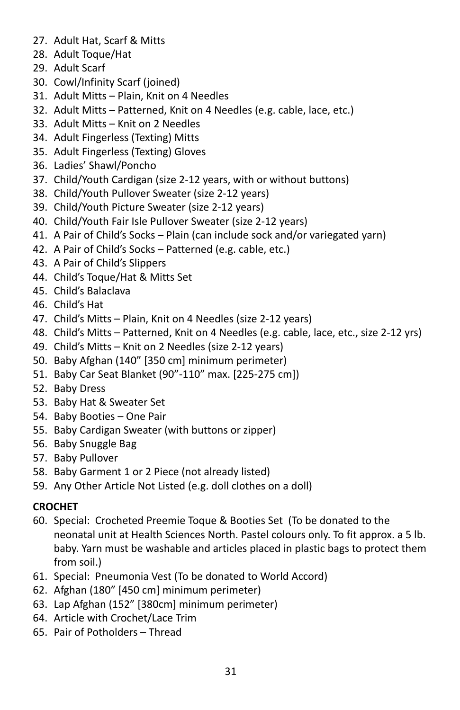- 27. Adult Hat, Scarf & Mitts
- 28. Adult Toque/Hat
- 29. Adult Scarf
- 30. Cowl/Infinity Scarf (joined)
- 31. Adult Mitts Plain, Knit on 4 Needles
- 32. Adult Mitts Patterned, Knit on 4 Needles (e.g. cable, lace, etc.)
- 33. Adult Mitts Knit on 2 Needles
- 34. Adult Fingerless (Texting) Mitts
- 35. Adult Fingerless (Texting) Gloves
- 36. Ladies' Shawl/Poncho
- 37. Child/Youth Cardigan (size 2-12 years, with or without buttons)
- 38. Child/Youth Pullover Sweater (size 2-12 years)
- 39. Child/Youth Picture Sweater (size 2-12 years)
- 40. Child/Youth Fair Isle Pullover Sweater (size 2-12 years)
- 41. A Pair of Child's Socks Plain (can include sock and/or variegated yarn)
- 42. A Pair of Child's Socks Patterned (e.g. cable, etc.)
- 43. A Pair of Child's Slippers
- 44. Child's Toque/Hat & Mitts Set
- 45. Child's Balaclava
- 46. Child's Hat
- 47. Child's Mitts Plain, Knit on 4 Needles (size 2-12 years)
- 48. Child's Mitts Patterned, Knit on 4 Needles (e.g. cable, lace, etc., size 2-12 yrs)
- 49. Child's Mitts Knit on 2 Needles (size 2-12 years)
- 50. Baby Afghan (140" [350 cm] minimum perimeter)
- 51. Baby Car Seat Blanket (90"-110" max. [225-275 cm])
- 52. Baby Dress
- 53. Baby Hat & Sweater Set
- 54. Baby Booties One Pair
- 55. Baby Cardigan Sweater (with buttons or zipper)
- 56. Baby Snuggle Bag
- 57. Baby Pullover
- 58. Baby Garment 1 or 2 Piece (not already listed)
- 59. Any Other Article Not Listed (e.g. doll clothes on a doll)

# **CROCHET**

- 60. Special: Crocheted Preemie Toque & Booties Set (To be donated to the neonatal unit at Health Sciences North. Pastel colours only. To fit approx. a 5 lb. baby. Yarn must be washable and articles placed in plastic bags to protect them from soil.)
- 61. Special: Pneumonia Vest (To be donated to World Accord)
- 62. Afghan (180" [450 cm] minimum perimeter)
- 63. Lap Afghan (152" [380cm] minimum perimeter)
- 64. Article with Crochet/Lace Trim
- 65. Pair of Potholders Thread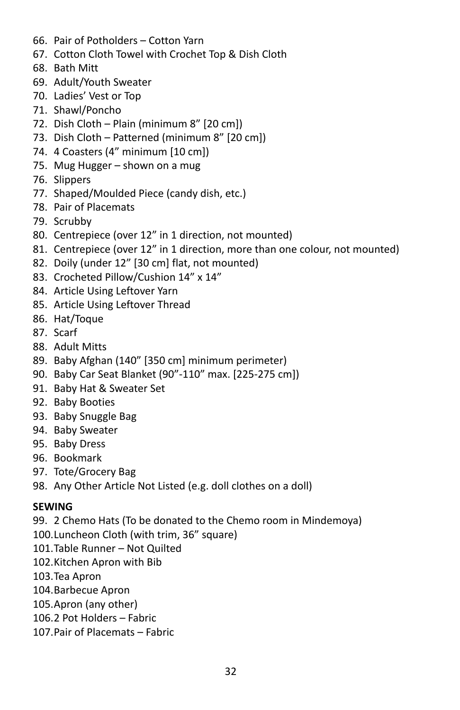- 66. Pair of Potholders Cotton Yarn
- 67. Cotton Cloth Towel with Crochet Top & Dish Cloth
- 68. Bath Mitt
- 69. Adult/Youth Sweater
- 70. Ladies' Vest or Top
- 71. Shawl/Poncho
- 72. Dish Cloth Plain (minimum 8" [20 cm])
- 73. Dish Cloth Patterned (minimum 8" [20 cm])
- 74. 4 Coasters (4" minimum [10 cm])
- 75. Mug Hugger shown on a mug
- 76. Slippers
- 77. Shaped/Moulded Piece (candy dish, etc.)
- 78. Pair of Placemats
- 79. Scrubby
- 80. Centrepiece (over 12" in 1 direction, not mounted)
- 81. Centrepiece (over 12" in 1 direction, more than one colour, not mounted)
- 82. Doily (under 12" [30 cm] flat, not mounted)
- 83. Crocheted Pillow/Cushion 14" x 14"
- 84. Article Using Leftover Yarn
- 85. Article Using Leftover Thread
- 86. Hat/Toque
- 87. Scarf
- 88. Adult Mitts
- 89. Baby Afghan (140" [350 cm] minimum perimeter)
- 90. Baby Car Seat Blanket (90"-110" max. [225-275 cm])
- 91. Baby Hat & Sweater Set
- 92. Baby Booties
- 93. Baby Snuggle Bag
- 94. Baby Sweater
- 95. Baby Dress
- 96. Bookmark
- 97. Tote/Grocery Bag
- 98. Any Other Article Not Listed (e.g. doll clothes on a doll)

## **SEWING**

- 99. 2 Chemo Hats (To be donated to the Chemo room in Mindemoya)
- 100.Luncheon Cloth (with trim, 36" square)
- 101.Table Runner Not Quilted
- 102.Kitchen Apron with Bib
- 103.Tea Apron
- 104.Barbecue Apron
- 105.Apron (any other)
- 106.2 Pot Holders Fabric
- 107.Pair of Placemats Fabric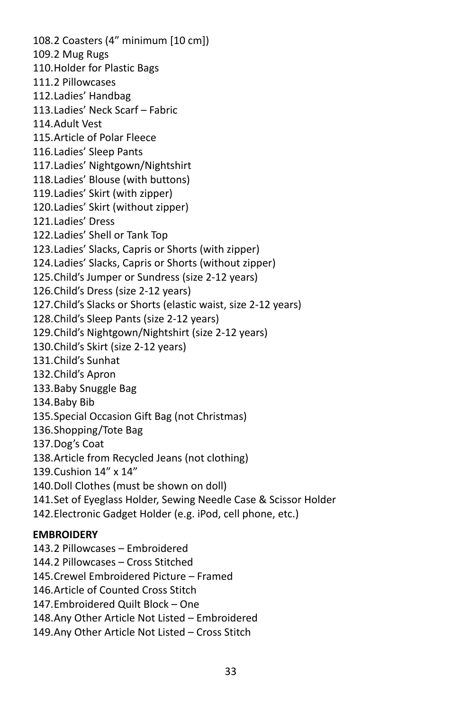108.2 Coasters (4" minimum [10 cm]) 109.2 Mug Rugs 110.Holder for Plastic Bags 111.2 Pillowcases 112.Ladies' Handbag 113.Ladies' Neck Scarf – Fabric 114.Adult Vest 115.Article of Polar Fleece 116.Ladies' Sleep Pants 117.Ladies' Nightgown/Nightshirt 118.Ladies' Blouse (with buttons) 119.Ladies' Skirt (with zipper) 120.Ladies' Skirt (without zipper) 121.Ladies' Dress 122.Ladies' Shell or Tank Top 123.Ladies' Slacks, Capris or Shorts (with zipper) 124.Ladies' Slacks, Capris or Shorts (without zipper) 125.Child's Jumper or Sundress (size 2-12 years) 126.Child's Dress (size 2-12 years) 127.Child's Slacks or Shorts (elastic waist, size 2-12 years) 128.Child's Sleep Pants (size 2-12 years) 129.Child's Nightgown/Nightshirt (size 2-12 years) 130.Child's Skirt (size 2-12 years) 131.Child's Sunhat 132.Child's Apron 133.Baby Snuggle Bag 134.Baby Bib 135.Special Occasion Gift Bag (not Christmas) 136.Shopping/Tote Bag 137.Dog's Coat 138.Article from Recycled Jeans (not clothing) 139.Cushion 14" x 14" 140.Doll Clothes (must be shown on doll) 141.Set of Eyeglass Holder, Sewing Needle Case & Scissor Holder 142.Electronic Gadget Holder (e.g. iPod, cell phone, etc.) **EMBROIDERY** 143.2 Pillowcases – Embroidered 144.2 Pillowcases – Cross Stitched

145.Crewel Embroidered Picture – Framed

- 146.Article of Counted Cross Stitch
- 147.Embroidered Quilt Block One

148.Any Other Article Not Listed – Embroidered

149.Any Other Article Not Listed – Cross Stitch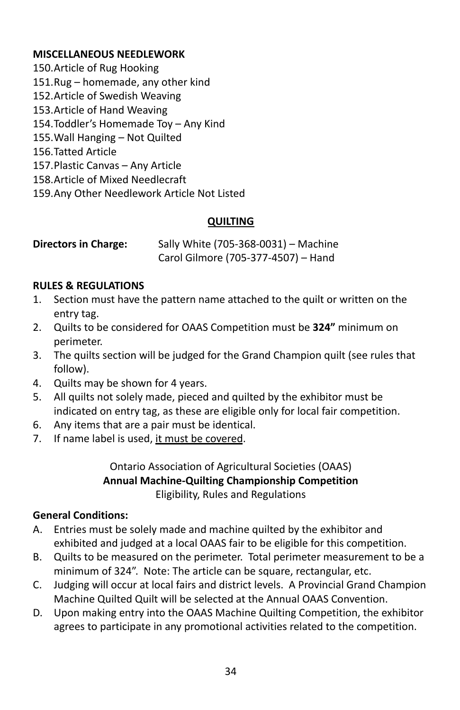## **MISCELLANEOUS NEEDLEWORK**

- 150.Article of Rug Hooking
- 151.Rug homemade, any other kind
- 152.Article of Swedish Weaving
- 153.Article of Hand Weaving
- 154.Toddler's Homemade Toy Any Kind
- 155.Wall Hanging Not Quilted
- 156.Tatted Article
- 157.Plastic Canvas Any Article
- 158.Article of Mixed Needlecraft
- 159.Any Other Needlework Article Not Listed

# **QUILTING**

**Directors in Charge:** Sally White (705-368-0031) – Machine Carol Gilmore (705-377-4507) – Hand

## **RULES & REGULATIONS**

- 1. Section must have the pattern name attached to the quilt or written on the entry tag.
- 2. Quilts to be considered for OAAS Competition must be **324"** minimum on perimeter.
- 3. The quilts section will be judged for the Grand Champion quilt (see rules that follow).
- 4. Quilts may be shown for 4 years.
- 5. All quilts not solely made, pieced and quilted by the exhibitor must be indicated on entry tag, as these are eligible only for local fair competition.
- 6. Any items that are a pair must be identical.
- 7. If name label is used, it must be covered.

#### Ontario Association of Agricultural Societies (OAAS) **Annual Machine-Quilting Championship Competition** Eligibility, Rules and Regulations

## **General Conditions:**

- A. Entries must be solely made and machine quilted by the exhibitor and exhibited and judged at a local OAAS fair to be eligible for this competition.
- B. Quilts to be measured on the perimeter. Total perimeter measurement to be a minimum of 324". Note: The article can be square, rectangular, etc.
- C. Judging will occur at local fairs and district levels. A Provincial Grand Champion Machine Quilted Quilt will be selected at the Annual OAAS Convention.
- D. Upon making entry into the OAAS Machine Quilting Competition, the exhibitor agrees to participate in any promotional activities related to the competition.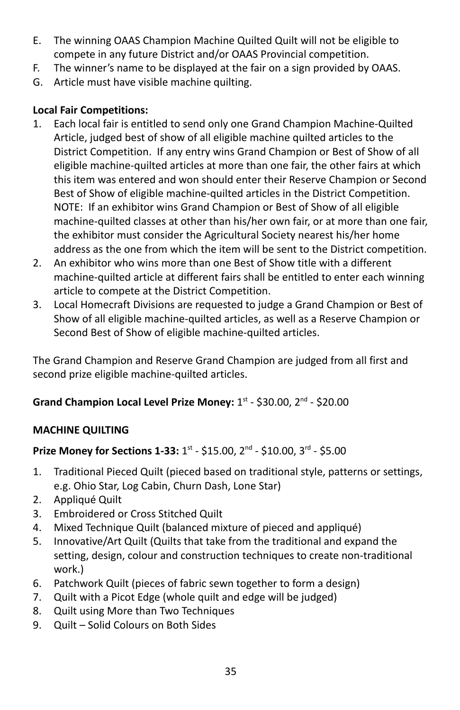- E. The winning OAAS Champion Machine Quilted Quilt will not be eligible to compete in any future District and/or OAAS Provincial competition.
- F. The winner's name to be displayed at the fair on a sign provided by OAAS.
- G. Article must have visible machine quilting.

## **Local Fair Competitions:**

- 1. Each local fair is entitled to send only one Grand Champion Machine-Quilted Article, judged best of show of all eligible machine quilted articles to the District Competition. If any entry wins Grand Champion or Best of Show of all eligible machine-quilted articles at more than one fair, the other fairs at which this item was entered and won should enter their Reserve Champion or Second Best of Show of eligible machine-quilted articles in the District Competition. NOTE: If an exhibitor wins Grand Champion or Best of Show of all eligible machine-quilted classes at other than his/her own fair, or at more than one fair, the exhibitor must consider the Agricultural Society nearest his/her home address as the one from which the item will be sent to the District competition.
- 2. An exhibitor who wins more than one Best of Show title with a different machine-quilted article at different fairs shall be entitled to enter each winning article to compete at the District Competition.
- 3. Local Homecraft Divisions are requested to judge a Grand Champion or Best of Show of all eligible machine-quilted articles, as well as a Reserve Champion or Second Best of Show of eligible machine-quilted articles.

The Grand Champion and Reserve Grand Champion are judged from all first and second prize eligible machine-quilted articles.

Grand Champion Local Level Prize Money: 1<sup>st</sup> - \$30.00, 2<sup>nd</sup> - \$20.00

# **MACHINE QUILTING**

# **Prize Money for Sections 1-33:** 1<sup>st</sup> - \$15.00, 2<sup>nd</sup> - \$10.00, 3<sup>rd</sup> - \$5.00

- 1. Traditional Pieced Quilt (pieced based on traditional style, patterns or settings, e.g. Ohio Star, Log Cabin, Churn Dash, Lone Star)
- 2. Appliqué Quilt
- 3. Embroidered or Cross Stitched Quilt
- 4. Mixed Technique Quilt (balanced mixture of pieced and appliqué)
- 5. Innovative/Art Quilt (Quilts that take from the traditional and expand the setting, design, colour and construction techniques to create non-traditional work.)
- 6. Patchwork Quilt (pieces of fabric sewn together to form a design)
- 7. Quilt with a Picot Edge (whole quilt and edge will be judged)
- 8. Quilt using More than Two Techniques
- 9. Quilt Solid Colours on Both Sides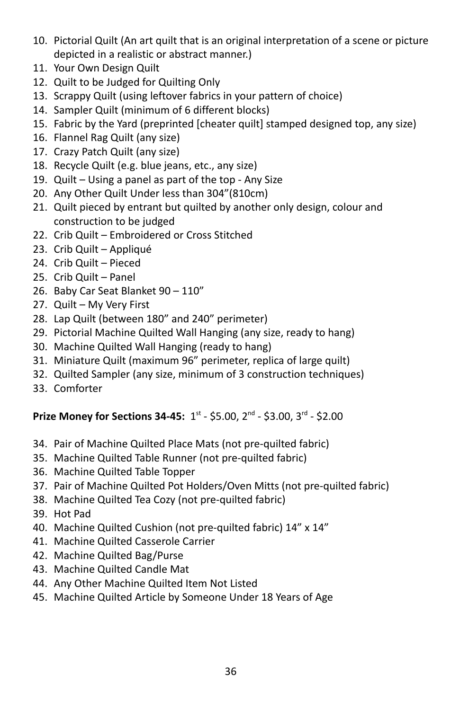- 10. Pictorial Quilt (An art quilt that is an original interpretation of a scene or picture depicted in a realistic or abstract manner.)
- 11. Your Own Design Quilt
- 12. Quilt to be Judged for Quilting Only
- 13. Scrappy Quilt (using leftover fabrics in your pattern of choice)
- 14. Sampler Quilt (minimum of 6 different blocks)
- 15. Fabric by the Yard (preprinted [cheater quilt] stamped designed top, any size)
- 16. Flannel Rag Quilt (any size)
- 17. Crazy Patch Quilt (any size)
- 18. Recycle Quilt (e.g. blue jeans, etc., any size)
- 19. Quilt Using a panel as part of the top Any Size
- 20. Any Other Quilt Under less than 304"(810cm)
- 21. Quilt pieced by entrant but quilted by another only design, colour and construction to be judged
- 22. Crib Quilt Embroidered or Cross Stitched
- 23. Crib Quilt Appliqué
- 24. Crib Quilt Pieced
- 25. Crib Quilt Panel
- 26. Baby Car Seat Blanket 90 110"
- 27. Quilt My Very First
- 28. Lap Quilt (between 180" and 240" perimeter)
- 29. Pictorial Machine Quilted Wall Hanging (any size, ready to hang)
- 30. Machine Quilted Wall Hanging (ready to hang)
- 31. Miniature Quilt (maximum 96" perimeter, replica of large quilt)
- 32. Quilted Sampler (any size, minimum of 3 construction techniques)
- 33. Comforter

# **Prize Money for Sections 34-45:** 1st - \$5.00, 2<sup>nd</sup> - \$3.00, 3<sup>rd</sup> - \$2.00

- 34. Pair of Machine Quilted Place Mats (not pre-quilted fabric)
- 35. Machine Quilted Table Runner (not pre-quilted fabric)
- 36. Machine Quilted Table Topper
- 37. Pair of Machine Quilted Pot Holders/Oven Mitts (not pre-quilted fabric)
- 38. Machine Quilted Tea Cozy (not pre-quilted fabric)
- 39. Hot Pad
- 40. Machine Quilted Cushion (not pre-quilted fabric) 14" x 14"
- 41. Machine Quilted Casserole Carrier
- 42. Machine Quilted Bag/Purse
- 43. Machine Quilted Candle Mat
- 44. Any Other Machine Quilted Item Not Listed
- 45. Machine Quilted Article by Someone Under 18 Years of Age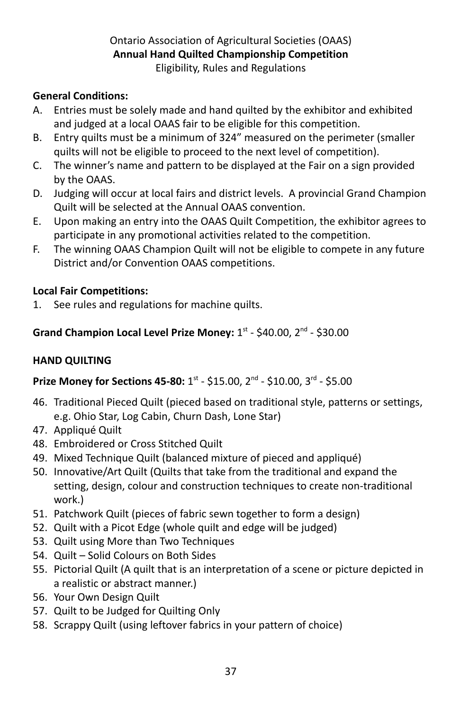# Ontario Association of Agricultural Societies (OAAS) **Annual Hand Quilted Championship Competition**

Eligibility, Rules and Regulations

# **General Conditions:**

- A. Entries must be solely made and hand quilted by the exhibitor and exhibited and judged at a local OAAS fair to be eligible for this competition.
- B. Entry quilts must be a minimum of 324" measured on the perimeter (smaller quilts will not be eligible to proceed to the next level of competition).
- C. The winner's name and pattern to be displayed at the Fair on a sign provided by the OAAS.
- D. Judging will occur at local fairs and district levels. A provincial Grand Champion Quilt will be selected at the Annual OAAS convention.
- E. Upon making an entry into the OAAS Quilt Competition, the exhibitor agrees to participate in any promotional activities related to the competition.
- F. The winning OAAS Champion Quilt will not be eligible to compete in any future District and/or Convention OAAS competitions.

# **Local Fair Competitions:**

1. See rules and regulations for machine quilts.

# Grand Champion Local Level Prize Money: 1st - \$40.00, 2<sup>nd</sup> - \$30.00

# **HAND QUILTING**

# **Prize Money for Sections 45-80: 1st - \$15.00, 2<sup>nd</sup> - \$10.00, 3<sup>rd</sup> - \$5.00**

- 46. Traditional Pieced Quilt (pieced based on traditional style, patterns or settings, e.g. Ohio Star, Log Cabin, Churn Dash, Lone Star)
- 47. Appliqué Quilt
- 48. Embroidered or Cross Stitched Quilt
- 49. Mixed Technique Quilt (balanced mixture of pieced and appliqué)
- 50. Innovative/Art Quilt (Quilts that take from the traditional and expand the setting, design, colour and construction techniques to create non-traditional work.)
- 51. Patchwork Quilt (pieces of fabric sewn together to form a design)
- 52. Quilt with a Picot Edge (whole quilt and edge will be judged)
- 53. Quilt using More than Two Techniques
- 54. Quilt Solid Colours on Both Sides
- 55. Pictorial Quilt (A quilt that is an interpretation of a scene or picture depicted in a realistic or abstract manner.)
- 56. Your Own Design Quilt
- 57. Quilt to be Judged for Quilting Only
- 58. Scrappy Quilt (using leftover fabrics in your pattern of choice)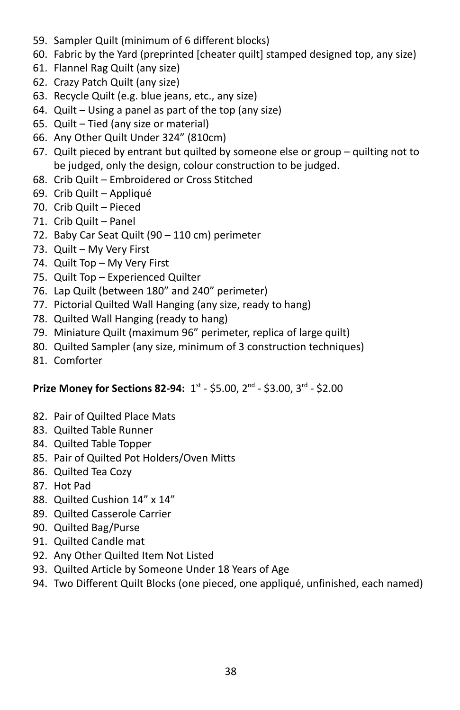- 59. Sampler Quilt (minimum of 6 different blocks)
- 60. Fabric by the Yard (preprinted [cheater quilt] stamped designed top, any size)
- 61. Flannel Rag Quilt (any size)
- 62. Crazy Patch Quilt (any size)
- 63. Recycle Quilt (e.g. blue jeans, etc., any size)
- 64. Quilt Using a panel as part of the top (any size)
- 65. Quilt Tied (any size or material)
- 66. Any Other Quilt Under 324" (810cm)
- 67. Quilt pieced by entrant but quilted by someone else or group quilting not to be judged, only the design, colour construction to be judged.
- 68. Crib Quilt Embroidered or Cross Stitched
- 69. Crib Quilt Appliqué
- 70. Crib Quilt Pieced
- 71. Crib Quilt Panel
- 72. Baby Car Seat Quilt (90 110 cm) perimeter
- 73. Quilt My Very First
- 74. Quilt Top My Very First
- 75. Quilt Top Experienced Quilter
- 76. Lap Quilt (between 180" and 240" perimeter)
- 77. Pictorial Quilted Wall Hanging (any size, ready to hang)
- 78. Quilted Wall Hanging (ready to hang)
- 79. Miniature Quilt (maximum 96" perimeter, replica of large quilt)
- 80. Quilted Sampler (any size, minimum of 3 construction techniques)
- 81. Comforter

## **Prize Money for Sections 82-94:** 1st - \$5.00, 2<sup>nd</sup> - \$3.00, 3<sup>rd</sup> - \$2.00

- 82. Pair of Quilted Place Mats
- 83. Quilted Table Runner
- 84. Quilted Table Topper
- 85. Pair of Quilted Pot Holders/Oven Mitts
- 86. Quilted Tea Cozy
- 87. Hot Pad
- 88. Quilted Cushion 14" x 14"
- 89. Quilted Casserole Carrier
- 90. Quilted Bag/Purse
- 91. Quilted Candle mat
- 92. Any Other Quilted Item Not Listed
- 93. Quilted Article by Someone Under 18 Years of Age
- 94. Two Different Quilt Blocks (one pieced, one appliqué, unfinished, each named)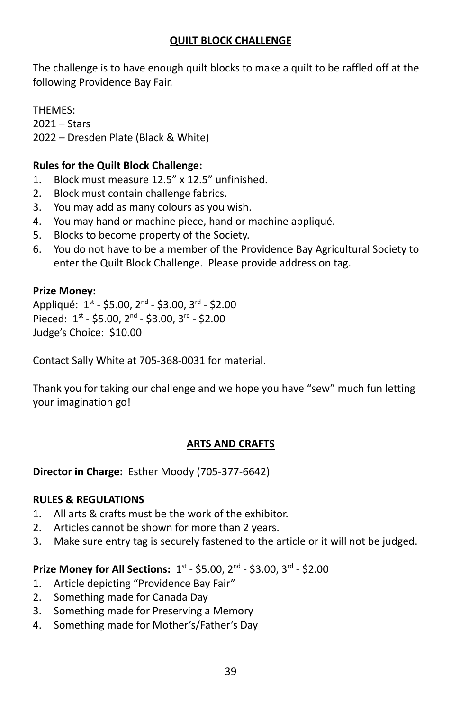#### **QUILT BLOCK CHALLENGE**

The challenge is to have enough quilt blocks to make a quilt to be raffled off at the following Providence Bay Fair.

THEMES: 2021 – Stars 2022 – Dresden Plate (Black & White)

#### **Rules for the Quilt Block Challenge:**

- 1. Block must measure 12.5" x 12.5" unfinished.
- 2. Block must contain challenge fabrics.
- 3. You may add as many colours as you wish.
- 4. You may hand or machine piece, hand or machine appliqué.
- 5. Blocks to become property of the Society.
- 6. You do not have to be a member of the Providence Bay Agricultural Society to enter the Quilt Block Challenge. Please provide address on tag.

#### **Prize Money:**

Appliqué: 1st - \$5.00, 2<sup>nd</sup> - \$3.00, 3<sup>rd</sup> - \$2.00 Pieced:  $1^{st}$  - \$5.00,  $2^{nd}$  - \$3.00,  $3^{rd}$  - \$2.00 Judge's Choice: \$10.00

Contact Sally White at 705-368-0031 for material.

Thank you for taking our challenge and we hope you have "sew" much fun letting your imagination go!

#### **ARTS AND CRAFTS**

**Director in Charge:** Esther Moody (705-377-6642)

#### **RULES & REGULATIONS**

- 1. All arts & crafts must be the work of the exhibitor.
- 2. Articles cannot be shown for more than 2 years.
- 3. Make sure entry tag is securely fastened to the article or it will not be judged.

- 1. Article depicting "Providence Bay Fair"
- 2. Something made for Canada Day
- 3. Something made for Preserving a Memory
- 4. Something made for Mother's/Father's Day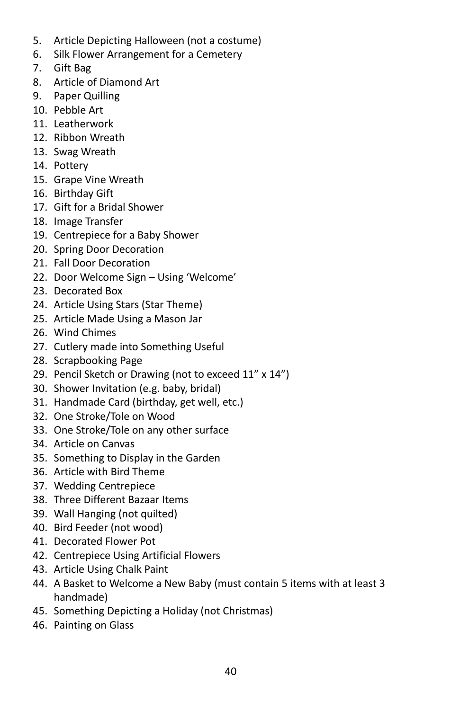- 5. Article Depicting Halloween (not a costume)
- 6. Silk Flower Arrangement for a Cemetery
- 7. Gift Bag
- 8. Article of Diamond Art
- 9. Paper Quilling
- 10. Pebble Art
- 11. Leatherwork
- 12. Ribbon Wreath
- 13. Swag Wreath
- 14. Pottery
- 15. Grape Vine Wreath
- 16. Birthday Gift
- 17. Gift for a Bridal Shower
- 18. Image Transfer
- 19. Centrepiece for a Baby Shower
- 20. Spring Door Decoration
- 21. Fall Door Decoration
- 22. Door Welcome Sign Using 'Welcome'
- 23. Decorated Box
- 24. Article Using Stars (Star Theme)
- 25. Article Made Using a Mason Jar
- 26. Wind Chimes
- 27. Cutlery made into Something Useful
- 28. Scrapbooking Page
- 29. Pencil Sketch or Drawing (not to exceed 11" x 14")
- 30. Shower Invitation (e.g. baby, bridal)
- 31. Handmade Card (birthday, get well, etc.)
- 32. One Stroke/Tole on Wood
- 33. One Stroke/Tole on any other surface
- 34. Article on Canvas
- 35. Something to Display in the Garden
- 36. Article with Bird Theme
- 37. Wedding Centrepiece
- 38. Three Different Bazaar Items
- 39. Wall Hanging (not quilted)
- 40. Bird Feeder (not wood)
- 41. Decorated Flower Pot
- 42. Centrepiece Using Artificial Flowers
- 43. Article Using Chalk Paint
- 44. A Basket to Welcome a New Baby (must contain 5 items with at least 3 handmade)
- 45. Something Depicting a Holiday (not Christmas)
- 46. Painting on Glass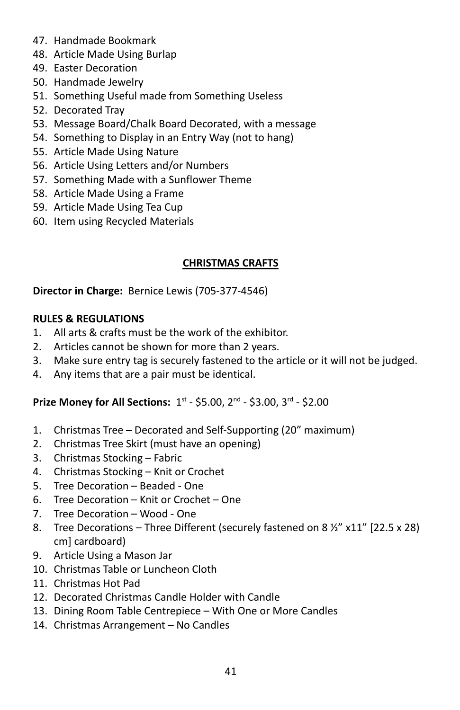- 47. Handmade Bookmark
- 48. Article Made Using Burlap
- 49. Easter Decoration
- 50. Handmade Jewelry
- 51. Something Useful made from Something Useless
- 52. Decorated Tray
- 53. Message Board/Chalk Board Decorated, with a message
- 54. Something to Display in an Entry Way (not to hang)
- 55. Article Made Using Nature
- 56. Article Using Letters and/or Numbers
- 57. Something Made with a Sunflower Theme
- 58. Article Made Using a Frame
- 59. Article Made Using Tea Cup
- 60. Item using Recycled Materials

## **CHRISTMAS CRAFTS**

**Director in Charge:** Bernice Lewis (705-377-4546)

#### **RULES & REGULATIONS**

- 1. All arts & crafts must be the work of the exhibitor.
- 2. Articles cannot be shown for more than 2 years.
- 3. Make sure entry tag is securely fastened to the article or it will not be judged.
- 4. Any items that are a pair must be identical.

- 1. Christmas Tree Decorated and Self-Supporting (20" maximum)
- 2. Christmas Tree Skirt (must have an opening)
- 3. Christmas Stocking Fabric
- 4. Christmas Stocking Knit or Crochet
- 5. Tree Decoration Beaded One
- 6. Tree Decoration Knit or Crochet One
- 7. Tree Decoration Wood One
- 8. Tree Decorations Three Different (securely fastened on 8  $\frac{1}{2}$ " x11" [22.5 x 28] cm] cardboard)
- 9. Article Using a Mason Jar
- 10. Christmas Table or Luncheon Cloth
- 11. Christmas Hot Pad
- 12. Decorated Christmas Candle Holder with Candle
- 13. Dining Room Table Centrepiece With One or More Candles
- 14. Christmas Arrangement No Candles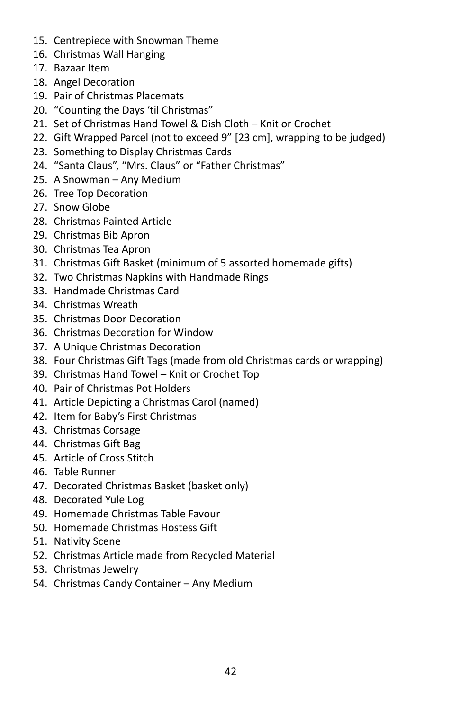- 15. Centrepiece with Snowman Theme
- 16. Christmas Wall Hanging
- 17. Bazaar Item
- 18. Angel Decoration
- 19. Pair of Christmas Placemats
- 20. "Counting the Days 'til Christmas"
- 21. Set of Christmas Hand Towel & Dish Cloth Knit or Crochet
- 22. Gift Wrapped Parcel (not to exceed 9" [23 cm], wrapping to be judged)
- 23. Something to Display Christmas Cards
- 24. "Santa Claus", "Mrs. Claus" or "Father Christmas"
- 25. A Snowman Any Medium
- 26. Tree Top Decoration
- 27. Snow Globe
- 28. Christmas Painted Article
- 29. Christmas Bib Apron
- 30. Christmas Tea Apron
- 31. Christmas Gift Basket (minimum of 5 assorted homemade gifts)
- 32. Two Christmas Napkins with Handmade Rings
- 33. Handmade Christmas Card
- 34. Christmas Wreath
- 35. Christmas Door Decoration
- 36. Christmas Decoration for Window
- 37. A Unique Christmas Decoration
- 38. Four Christmas Gift Tags (made from old Christmas cards or wrapping)
- 39. Christmas Hand Towel Knit or Crochet Top
- 40. Pair of Christmas Pot Holders
- 41. Article Depicting a Christmas Carol (named)
- 42. Item for Baby's First Christmas
- 43. Christmas Corsage
- 44. Christmas Gift Bag
- 45. Article of Cross Stitch
- 46. Table Runner
- 47. Decorated Christmas Basket (basket only)
- 48. Decorated Yule Log
- 49. Homemade Christmas Table Favour
- 50. Homemade Christmas Hostess Gift
- 51. Nativity Scene
- 52. Christmas Article made from Recycled Material
- 53. Christmas Jewelry
- 54. Christmas Candy Container Any Medium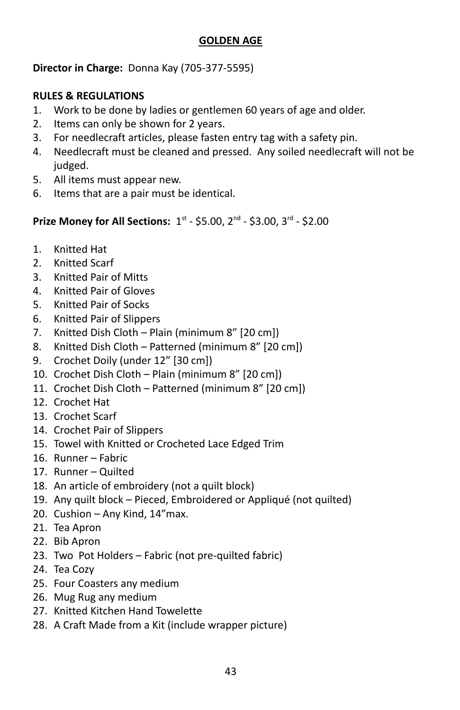#### **GOLDEN AGE**

**Director in Charge:** Donna Kay (705-377-5595)

#### **RULES & REGULATIONS**

- 1. Work to be done by ladies or gentlemen 60 years of age and older.
- 2. Items can only be shown for 2 years.
- 3. For needlecraft articles, please fasten entry tag with a safety pin.
- 4. Needlecraft must be cleaned and pressed. Any soiled needlecraft will not be judged.
- 5. All items must appear new.
- 6. Items that are a pair must be identical.

- 1. Knitted Hat
- 2. Knitted Scarf
- 3. Knitted Pair of Mitts
- 4. Knitted Pair of Gloves
- 5. Knitted Pair of Socks
- 6. Knitted Pair of Slippers
- 7. Knitted Dish Cloth Plain (minimum 8" [20 cm])
- 8. Knitted Dish Cloth Patterned (minimum 8" [20 cm])
- 9. Crochet Doily (under 12" [30 cm])
- 10. Crochet Dish Cloth Plain (minimum 8" [20 cm])
- 11. Crochet Dish Cloth Patterned (minimum 8" [20 cm])
- 12. Crochet Hat
- 13. Crochet Scarf
- 14. Crochet Pair of Slippers
- 15. Towel with Knitted or Crocheted Lace Edged Trim
- 16. Runner Fabric
- 17. Runner Quilted
- 18. An article of embroidery (not a quilt block)
- 19. Any quilt block Pieced, Embroidered or Appliqué (not quilted)
- 20. Cushion Any Kind, 14"max.
- 21. Tea Apron
- 22. Bib Apron
- 23. Two Pot Holders Fabric (not pre-quilted fabric)
- 24. Tea Cozy
- 25. Four Coasters any medium
- 26. Mug Rug any medium
- 27. Knitted Kitchen Hand Towelette
- 28. A Craft Made from a Kit (include wrapper picture)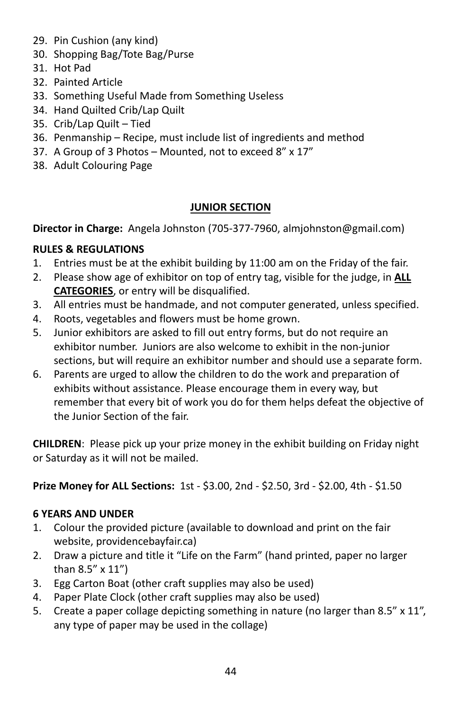- 29. Pin Cushion (any kind)
- 30. Shopping Bag/Tote Bag/Purse
- 31. Hot Pad
- 32. Painted Article
- 33. Something Useful Made from Something Useless
- 34. Hand Quilted Crib/Lap Quilt
- 35. Crib/Lap Quilt Tied
- 36. Penmanship Recipe, must include list of ingredients and method
- 37. A Group of 3 Photos Mounted, not to exceed 8" x 17"
- 38. Adult Colouring Page

## **JUNIOR SECTION**

**Director in Charge:** Angela Johnston (705-377-7960, almjohnston@gmail.com)

# **RULES & REGULATIONS**

- 1. Entries must be at the exhibit building by 11:00 am on the Friday of the fair.
- 2. Please show age of exhibitor on top of entry tag, visible for the judge, in **ALL CATEGORIES**, or entry will be disqualified.
- 3. All entries must be handmade, and not computer generated, unless specified.
- 4. Roots, vegetables and flowers must be home grown.
- 5. Junior exhibitors are asked to fill out entry forms, but do not require an exhibitor number. Juniors are also welcome to exhibit in the non-junior sections, but will require an exhibitor number and should use a separate form.
- 6. Parents are urged to allow the children to do the work and preparation of exhibits without assistance. Please encourage them in every way, but remember that every bit of work you do for them helps defeat the objective of the Junior Section of the fair.

**CHILDREN**: Please pick up your prize money in the exhibit building on Friday night or Saturday as it will not be mailed.

**Prize Money for ALL Sections:** 1st - \$3.00, 2nd - \$2.50, 3rd - \$2.00, 4th - \$1.50

# **6 YEARS AND UNDER**

- 1. Colour the provided picture (available to download and print on the fair website, providencebayfair.ca)
- 2. Draw a picture and title it "Life on the Farm" (hand printed, paper no larger than 8.5" x 11")
- 3. Egg Carton Boat (other craft supplies may also be used)
- 4. Paper Plate Clock (other craft supplies may also be used)
- 5. Create a paper collage depicting something in nature (no larger than 8.5" x 11", any type of paper may be used in the collage)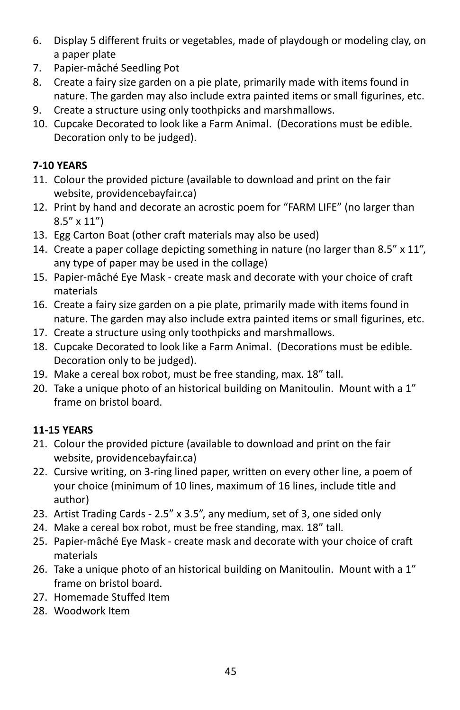- 6. Display 5 different fruits or vegetables, made of playdough or modeling clay, on a paper plate
- 7. Papier-mâché Seedling Pot
- 8. Create a fairy size garden on a pie plate, primarily made with items found in nature. The garden may also include extra painted items or small figurines, etc.
- 9. Create a structure using only toothpicks and marshmallows.
- 10. Cupcake Decorated to look like a Farm Animal. (Decorations must be edible. Decoration only to be judged).

## **7-10 YEARS**

- 11. Colour the provided picture (available to download and print on the fair website, providencebayfair.ca)
- 12. Print by hand and decorate an acrostic poem for "FARM LIFE" (no larger than 8.5" x 11")
- 13. Egg Carton Boat (other craft materials may also be used)
- 14. Create a paper collage depicting something in nature (no larger than 8.5" x 11", any type of paper may be used in the collage)
- 15. Papier-mâché Eye Mask create mask and decorate with your choice of craft materials
- 16. Create a fairy size garden on a pie plate, primarily made with items found in nature. The garden may also include extra painted items or small figurines, etc.
- 17. Create a structure using only toothpicks and marshmallows.
- 18. Cupcake Decorated to look like a Farm Animal. (Decorations must be edible. Decoration only to be judged).
- 19. Make a cereal box robot, must be free standing, max. 18" tall.
- 20. Take a unique photo of an historical building on Manitoulin. Mount with a 1" frame on bristol board.

# **11-15 YEARS**

- 21. Colour the provided picture (available to download and print on the fair website, providencebayfair.ca)
- 22. Cursive writing, on 3-ring lined paper, written on every other line, a poem of your choice (minimum of 10 lines, maximum of 16 lines, include title and author)
- 23. Artist Trading Cards 2.5" x 3.5", any medium, set of 3, one sided only
- 24. Make a cereal box robot, must be free standing, max. 18" tall.
- 25. Papier-mâché Eye Mask create mask and decorate with your choice of craft materials
- 26. Take a unique photo of an historical building on Manitoulin. Mount with a 1" frame on bristol board.
- 27. Homemade Stuffed Item
- 28. Woodwork Item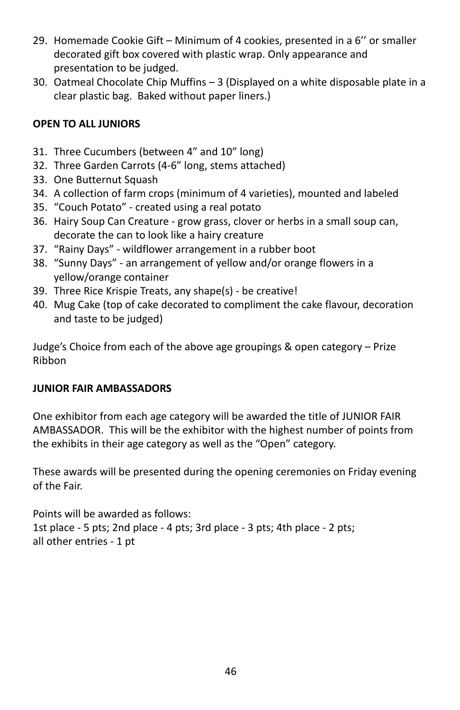- 29. Homemade Cookie Gift Minimum of 4 cookies, presented in a 6'' or smaller decorated gift box covered with plastic wrap. Only appearance and presentation to be judged.
- 30. Oatmeal Chocolate Chip Muffins 3 (Displayed on a white disposable plate in a clear plastic bag. Baked without paper liners.)

## **OPEN TO ALL JUNIORS**

- 31. Three Cucumbers (between 4" and 10" long)
- 32. Three Garden Carrots (4-6" long, stems attached)
- 33. One Butternut Squash
- 34. A collection of farm crops (minimum of 4 varieties), mounted and labeled
- 35. "Couch Potato" created using a real potato
- 36. Hairy Soup Can Creature grow grass, clover or herbs in a small soup can, decorate the can to look like a hairy creature
- 37. "Rainy Days" wildflower arrangement in a rubber boot
- 38. "Sunny Days" an arrangement of yellow and/or orange flowers in a yellow/orange container
- 39. Three Rice Krispie Treats, any shape(s) be creative!
- 40. Mug Cake (top of cake decorated to compliment the cake flavour, decoration and taste to be judged)

Judge's Choice from each of the above age groupings & open category – Prize Ribbon

## **JUNIOR FAIR AMBASSADORS**

One exhibitor from each age category will be awarded the title of JUNIOR FAIR AMBASSADOR. This will be the exhibitor with the highest number of points from the exhibits in their age category as well as the "Open" category.

These awards will be presented during the opening ceremonies on Friday evening of the Fair.

Points will be awarded as follows: 1st place - 5 pts; 2nd place - 4 pts; 3rd place - 3 pts; 4th place - 2 pts; all other entries - 1 pt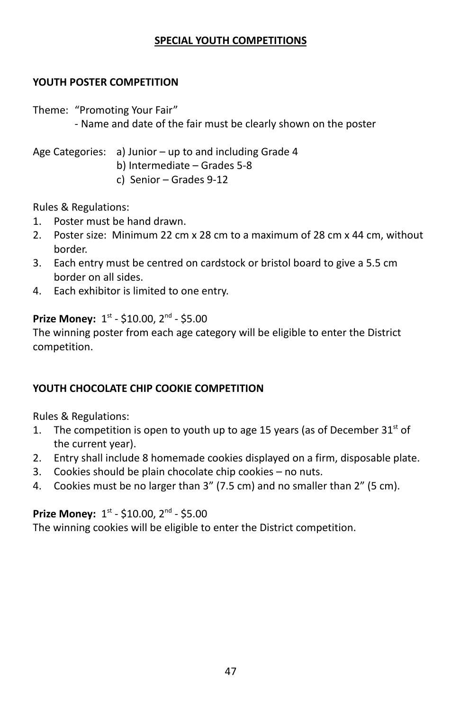#### **SPECIAL YOUTH COMPETITIONS**

#### **YOUTH POSTER COMPETITION**

Theme: "Promoting Your Fair"

- Name and date of the fair must be clearly shown on the poster

Age Categories: a) Junior – up to and including Grade 4 b) Intermediate – Grades 5-8 c) Senior – Grades 9-12

Rules & Regulations:

- 1. Poster must be hand drawn.
- 2. Poster size: Minimum 22 cm x 28 cm to a maximum of 28 cm x 44 cm, without border.
- 3. Each entry must be centred on cardstock or bristol board to give a 5.5 cm border on all sides.
- 4. Each exhibitor is limited to one entry.

#### Prize Money: 1st - \$10.00, 2<sup>nd</sup> - \$5.00

The winning poster from each age category will be eligible to enter the District competition.

#### **YOUTH CHOCOLATE CHIP COOKIE COMPETITION**

Rules & Regulations:

- 1. The competition is open to youth up to age 15 years (as of December  $31^{st}$  of the current year).
- 2. Entry shall include 8 homemade cookies displayed on a firm, disposable plate.
- 3. Cookies should be plain chocolate chip cookies no nuts.
- 4. Cookies must be no larger than 3" (7.5 cm) and no smaller than 2" (5 cm).

#### Prize Money: 1st - \$10.00, 2<sup>nd</sup> - \$5.00

The winning cookies will be eligible to enter the District competition.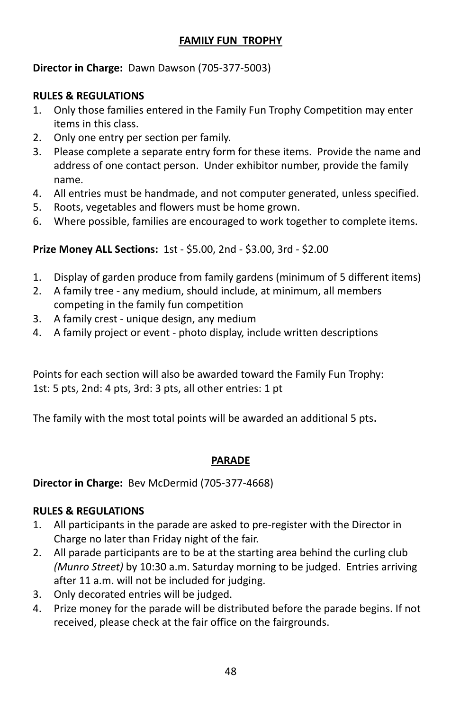## **FAMILY FUN TROPHY**

#### **Director in Charge:** Dawn Dawson (705-377-5003)

#### **RULES & REGULATIONS**

- 1. Only those families entered in the Family Fun Trophy Competition may enter items in this class.
- 2. Only one entry per section per family.
- 3. Please complete a separate entry form for these items. Provide the name and address of one contact person. Under exhibitor number, provide the family name.
- 4. All entries must be handmade, and not computer generated, unless specified.
- 5. Roots, vegetables and flowers must be home grown.
- 6. Where possible, families are encouraged to work together to complete items.

## **Prize Money ALL Sections:** 1st - \$5.00, 2nd - \$3.00, 3rd - \$2.00

- 1. Display of garden produce from family gardens (minimum of 5 different items)
- 2. A family tree any medium, should include, at minimum, all members competing in the family fun competition
- 3. A family crest unique design, any medium
- 4. A family project or event photo display, include written descriptions

Points for each section will also be awarded toward the Family Fun Trophy: 1st: 5 pts, 2nd: 4 pts, 3rd: 3 pts, all other entries: 1 pt

The family with the most total points will be awarded an additional 5 pts.

## **PARADE**

#### **Director in Charge:** Bev McDermid (705-377-4668)

#### **RULES & REGULATIONS**

- 1. All participants in the parade are asked to pre-register with the Director in Charge no later than Friday night of the fair.
- 2. All parade participants are to be at the starting area behind the curling club *(Munro Street)* by 10:30 a.m. Saturday morning to be judged. Entries arriving after 11 a.m. will not be included for judging.
- 3. Only decorated entries will be judged.
- 4. Prize money for the parade will be distributed before the parade begins. If not received, please check at the fair office on the fairgrounds.